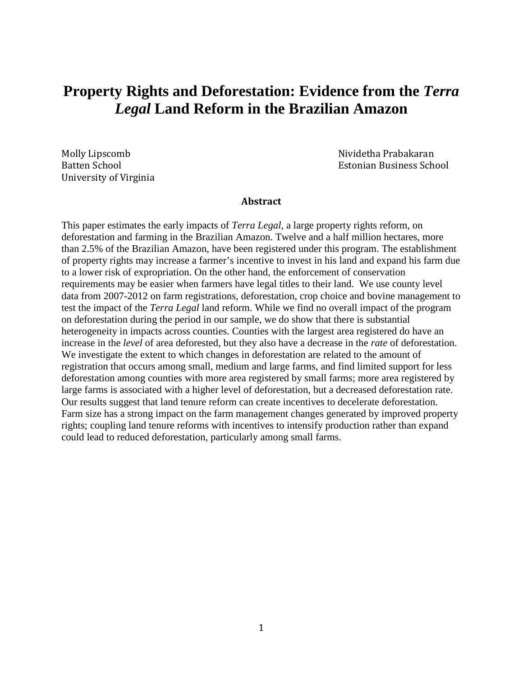# **Property Rights and Deforestation: Evidence from the** *Terra Legal* **Land Reform in the Brazilian Amazon**

University of Virginia

Molly Lipscomb Nividetha Prabakaran Estonian Business School

#### **Abstract**

This paper estimates the early impacts of *Terra Legal*, a large property rights reform, on deforestation and farming in the Brazilian Amazon. Twelve and a half million hectares, more than 2.5% of the Brazilian Amazon, have been registered under this program. The establishment of property rights may increase a farmer's incentive to invest in his land and expand his farm due to a lower risk of expropriation. On the other hand, the enforcement of conservation requirements may be easier when farmers have legal titles to their land. We use county level data from 2007-2012 on farm registrations, deforestation, crop choice and bovine management to test the impact of the *Terra Legal* land reform. While we find no overall impact of the program on deforestation during the period in our sample, we do show that there is substantial heterogeneity in impacts across counties. Counties with the largest area registered do have an increase in the *level* of area deforested, but they also have a decrease in the *rate* of deforestation. We investigate the extent to which changes in deforestation are related to the amount of registration that occurs among small, medium and large farms, and find limited support for less deforestation among counties with more area registered by small farms; more area registered by large farms is associated with a higher level of deforestation, but a decreased deforestation rate. Our results suggest that land tenure reform can create incentives to decelerate deforestation. Farm size has a strong impact on the farm management changes generated by improved property rights; coupling land tenure reforms with incentives to intensify production rather than expand could lead to reduced deforestation, particularly among small farms.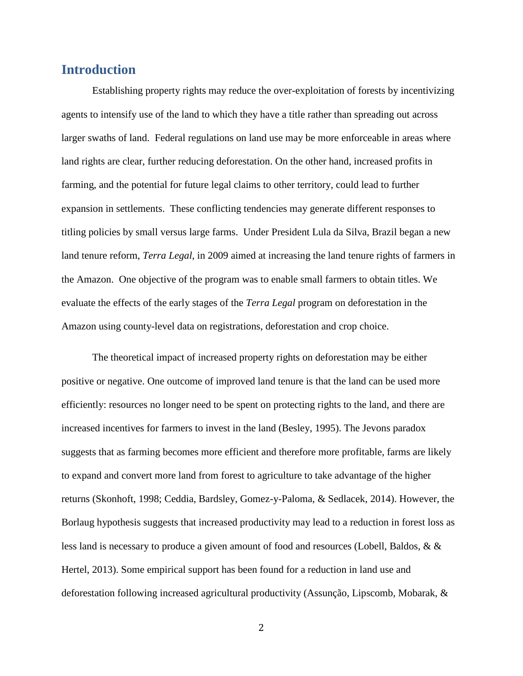## **Introduction**

Establishing property rights may reduce the over-exploitation of forests by incentivizing agents to intensify use of the land to which they have a title rather than spreading out across larger swaths of land. Federal regulations on land use may be more enforceable in areas where land rights are clear, further reducing deforestation. On the other hand, increased profits in farming, and the potential for future legal claims to other territory, could lead to further expansion in settlements. These conflicting tendencies may generate different responses to titling policies by small versus large farms. Under President Lula da Silva, Brazil began a new land tenure reform, *Terra Legal*, in 2009 aimed at increasing the land tenure rights of farmers in the Amazon. One objective of the program was to enable small farmers to obtain titles. We evaluate the effects of the early stages of the *Terra Legal* program on deforestation in the Amazon using county-level data on registrations, deforestation and crop choice.

The theoretical impact of increased property rights on deforestation may be either positive or negative. One outcome of improved land tenure is that the land can be used more efficiently: resources no longer need to be spent on protecting rights to the land, and there are increased incentives for farmers to invest in the land (Besley, 1995). The Jevons paradox suggests that as farming becomes more efficient and therefore more profitable, farms are likely to expand and convert more land from forest to agriculture to take advantage of the higher returns (Skonhoft, 1998; Ceddia, Bardsley, Gomez-y-Paloma, & Sedlacek, 2014). However, the Borlaug hypothesis suggests that increased productivity may lead to a reduction in forest loss as less land is necessary to produce a given amount of food and resources (Lobell, Baldos, & & Hertel, 2013). Some empirical support has been found for a reduction in land use and deforestation following increased agricultural productivity (Assunção, Lipscomb, Mobarak, &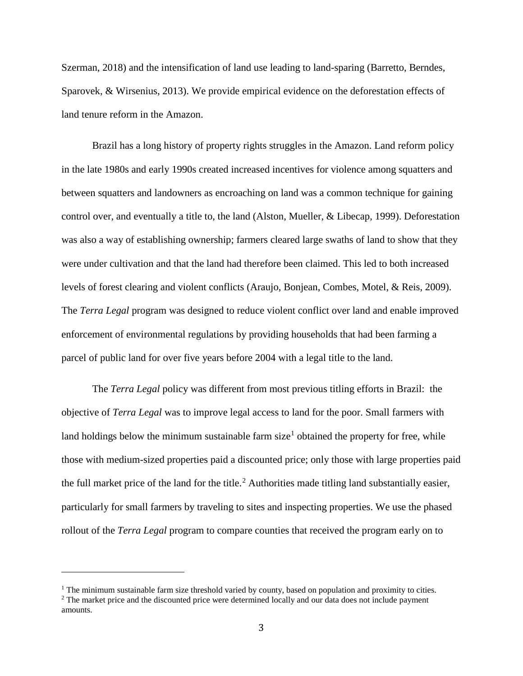Szerman, 2018) and the intensification of land use leading to land-sparing (Barretto, Berndes, Sparovek, & Wirsenius, 2013). We provide empirical evidence on the deforestation effects of land tenure reform in the Amazon.

Brazil has a long history of property rights struggles in the Amazon. Land reform policy in the late 1980s and early 1990s created increased incentives for violence among squatters and between squatters and landowners as encroaching on land was a common technique for gaining control over, and eventually a title to, the land (Alston, Mueller, & Libecap, 1999). Deforestation was also a way of establishing ownership; farmers cleared large swaths of land to show that they were under cultivation and that the land had therefore been claimed. This led to both increased levels of forest clearing and violent conflicts (Araujo, Bonjean, Combes, Motel, & Reis, 2009). The *Terra Legal* program was designed to reduce violent conflict over land and enable improved enforcement of environmental regulations by providing households that had been farming a parcel of public land for over five years before 2004 with a legal title to the land.

The *Terra Legal* policy was different from most previous titling efforts in Brazil: the objective of *Terra Legal* was to improve legal access to land for the poor. Small farmers with land holdings below the minimum sustainable farm size<sup>[1](#page-2-0)</sup> obtained the property for free, while those with medium-sized properties paid a discounted price; only those with large properties paid the full market price of the land for the title.<sup>[2](#page-2-1)</sup> Authorities made titling land substantially easier, particularly for small farmers by traveling to sites and inspecting properties. We use the phased rollout of the *Terra Legal* program to compare counties that received the program early on to

i<br>I

<span id="page-2-0"></span> $<sup>1</sup>$  The minimum sustainable farm size threshold varied by county, based on population and proximity to cities.</sup>

<span id="page-2-1"></span><sup>&</sup>lt;sup>2</sup> The market price and the discounted price were determined locally and our data does not include payment amounts.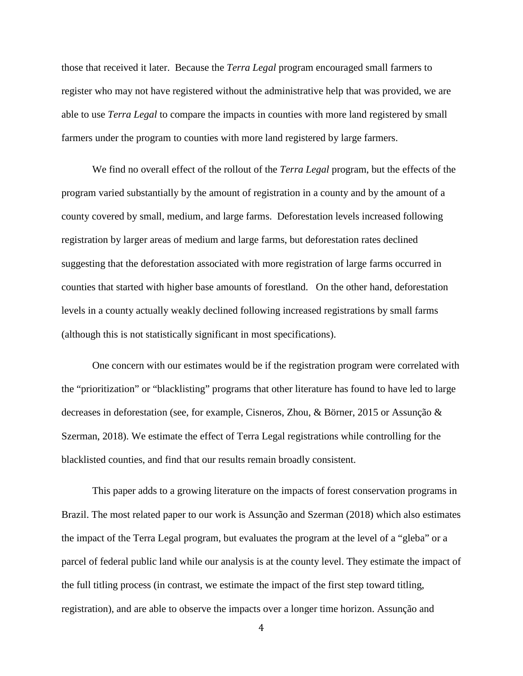those that received it later. Because the *Terra Legal* program encouraged small farmers to register who may not have registered without the administrative help that was provided, we are able to use *Terra Legal* to compare the impacts in counties with more land registered by small farmers under the program to counties with more land registered by large farmers.

We find no overall effect of the rollout of the *Terra Legal* program, but the effects of the program varied substantially by the amount of registration in a county and by the amount of a county covered by small, medium, and large farms. Deforestation levels increased following registration by larger areas of medium and large farms, but deforestation rates declined suggesting that the deforestation associated with more registration of large farms occurred in counties that started with higher base amounts of forestland. On the other hand, deforestation levels in a county actually weakly declined following increased registrations by small farms (although this is not statistically significant in most specifications).

One concern with our estimates would be if the registration program were correlated with the "prioritization" or "blacklisting" programs that other literature has found to have led to large decreases in deforestation (see, for example, Cisneros, Zhou, & Börner, 2015 or Assunção & Szerman, 2018). We estimate the effect of Terra Legal registrations while controlling for the blacklisted counties, and find that our results remain broadly consistent.

This paper adds to a growing literature on the impacts of forest conservation programs in Brazil. The most related paper to our work is Assunção and Szerman (2018) which also estimates the impact of the Terra Legal program, but evaluates the program at the level of a "gleba" or a parcel of federal public land while our analysis is at the county level. They estimate the impact of the full titling process (in contrast, we estimate the impact of the first step toward titling, registration), and are able to observe the impacts over a longer time horizon. Assunção and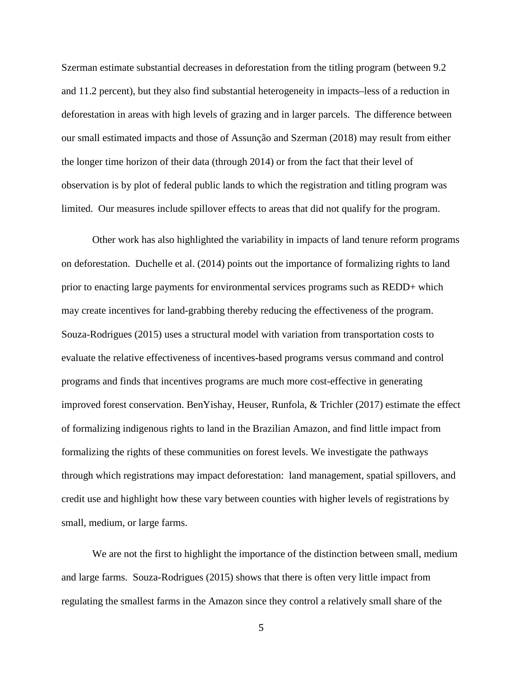Szerman estimate substantial decreases in deforestation from the titling program (between 9.2 and 11.2 percent), but they also find substantial heterogeneity in impacts–less of a reduction in deforestation in areas with high levels of grazing and in larger parcels. The difference between our small estimated impacts and those of Assunção and Szerman (2018) may result from either the longer time horizon of their data (through 2014) or from the fact that their level of observation is by plot of federal public lands to which the registration and titling program was limited. Our measures include spillover effects to areas that did not qualify for the program.

Other work has also highlighted the variability in impacts of land tenure reform programs on deforestation. Duchelle et al. (2014) points out the importance of formalizing rights to land prior to enacting large payments for environmental services programs such as REDD+ which may create incentives for land-grabbing thereby reducing the effectiveness of the program. Souza-Rodrigues (2015) uses a structural model with variation from transportation costs to evaluate the relative effectiveness of incentives-based programs versus command and control programs and finds that incentives programs are much more cost-effective in generating improved forest conservation. BenYishay, Heuser, Runfola, & Trichler (2017) estimate the effect of formalizing indigenous rights to land in the Brazilian Amazon, and find little impact from formalizing the rights of these communities on forest levels. We investigate the pathways through which registrations may impact deforestation: land management, spatial spillovers, and credit use and highlight how these vary between counties with higher levels of registrations by small, medium, or large farms.

We are not the first to highlight the importance of the distinction between small, medium and large farms. Souza-Rodrigues (2015) shows that there is often very little impact from regulating the smallest farms in the Amazon since they control a relatively small share of the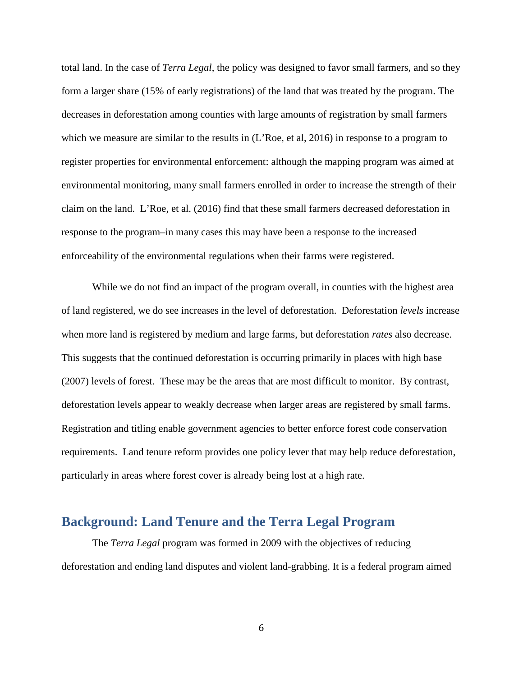total land. In the case of *Terra Legal*, the policy was designed to favor small farmers, and so they form a larger share (15% of early registrations) of the land that was treated by the program. The decreases in deforestation among counties with large amounts of registration by small farmers which we measure are similar to the results in (L'Roe, et al, 2016) in response to a program to register properties for environmental enforcement: although the mapping program was aimed at environmental monitoring, many small farmers enrolled in order to increase the strength of their claim on the land. L'Roe, et al. (2016) find that these small farmers decreased deforestation in response to the program–in many cases this may have been a response to the increased enforceability of the environmental regulations when their farms were registered.

While we do not find an impact of the program overall, in counties with the highest area of land registered, we do see increases in the level of deforestation. Deforestation *levels* increase when more land is registered by medium and large farms, but deforestation *rates* also decrease. This suggests that the continued deforestation is occurring primarily in places with high base (2007) levels of forest. These may be the areas that are most difficult to monitor. By contrast, deforestation levels appear to weakly decrease when larger areas are registered by small farms. Registration and titling enable government agencies to better enforce forest code conservation requirements. Land tenure reform provides one policy lever that may help reduce deforestation, particularly in areas where forest cover is already being lost at a high rate.

### **Background: Land Tenure and the Terra Legal Program**

The *Terra Legal* program was formed in 2009 with the objectives of reducing deforestation and ending land disputes and violent land-grabbing. It is a federal program aimed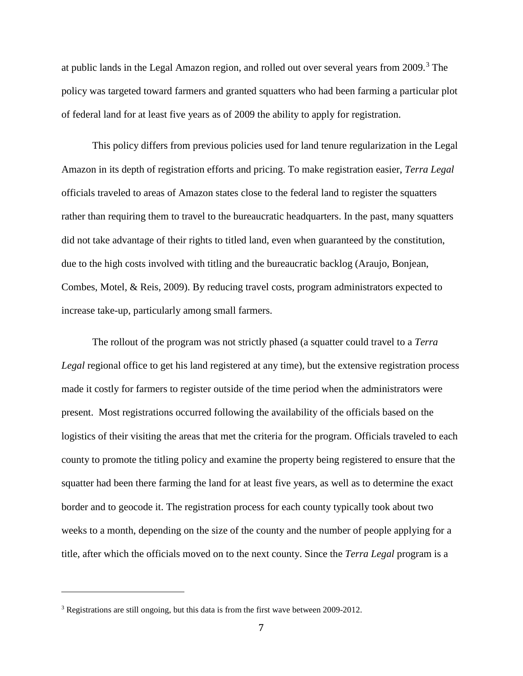at public lands in the Legal Amazon region, and rolled out over several years from 2009.<sup>[3](#page-6-0)</sup> The policy was targeted toward farmers and granted squatters who had been farming a particular plot of federal land for at least five years as of 2009 the ability to apply for registration.

This policy differs from previous policies used for land tenure regularization in the Legal Amazon in its depth of registration efforts and pricing. To make registration easier, *Terra Legal* officials traveled to areas of Amazon states close to the federal land to register the squatters rather than requiring them to travel to the bureaucratic headquarters. In the past, many squatters did not take advantage of their rights to titled land, even when guaranteed by the constitution, due to the high costs involved with titling and the bureaucratic backlog (Araujo, Bonjean, Combes, Motel, & Reis, 2009). By reducing travel costs, program administrators expected to increase take-up, particularly among small farmers.

The rollout of the program was not strictly phased (a squatter could travel to a *Terra Legal* regional office to get his land registered at any time), but the extensive registration process made it costly for farmers to register outside of the time period when the administrators were present. Most registrations occurred following the availability of the officials based on the logistics of their visiting the areas that met the criteria for the program. Officials traveled to each county to promote the titling policy and examine the property being registered to ensure that the squatter had been there farming the land for at least five years, as well as to determine the exact border and to geocode it. The registration process for each county typically took about two weeks to a month, depending on the size of the county and the number of people applying for a title, after which the officials moved on to the next county. Since the *Terra Legal* program is a

i<br>I

<span id="page-6-0"></span><sup>&</sup>lt;sup>3</sup> Registrations are still ongoing, but this data is from the first wave between 2009-2012.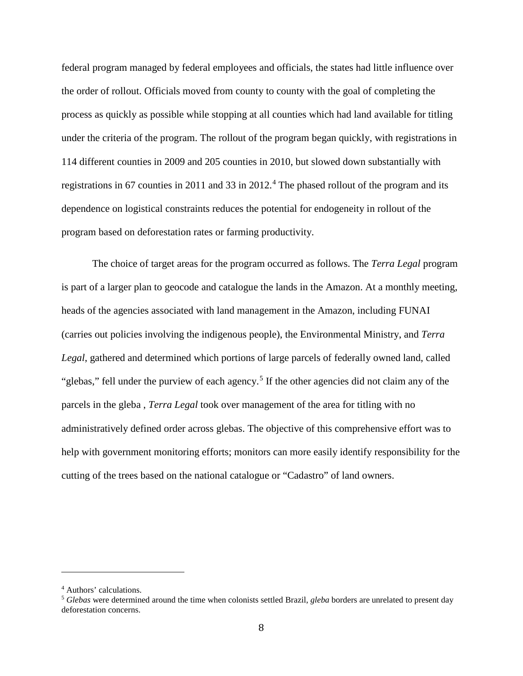federal program managed by federal employees and officials, the states had little influence over the order of rollout. Officials moved from county to county with the goal of completing the process as quickly as possible while stopping at all counties which had land available for titling under the criteria of the program. The rollout of the program began quickly, with registrations in 114 different counties in 2009 and 205 counties in 2010, but slowed down substantially with registrations in 67 counties in 2011 and 33 in 2012.<sup>[4](#page-7-0)</sup> The phased rollout of the program and its dependence on logistical constraints reduces the potential for endogeneity in rollout of the program based on deforestation rates or farming productivity.

The choice of target areas for the program occurred as follows. The *Terra Legal* program is part of a larger plan to geocode and catalogue the lands in the Amazon. At a monthly meeting, heads of the agencies associated with land management in the Amazon, including FUNAI (carries out policies involving the indigenous people), the Environmental Ministry, and *Terra Legal*, gathered and determined which portions of large parcels of federally owned land, called "glebas," fell under the purview of each agency.<sup>[5](#page-7-1)</sup> If the other agencies did not claim any of the parcels in the gleba , *Terra Legal* took over management of the area for titling with no administratively defined order across glebas. The objective of this comprehensive effort was to help with government monitoring efforts; monitors can more easily identify responsibility for the cutting of the trees based on the national catalogue or "Cadastro" of land owners.

i<br>I

<span id="page-7-0"></span><sup>4</sup> Authors' calculations.

<span id="page-7-1"></span><sup>5</sup> *Glebas* were determined around the time when colonists settled Brazil, *gleba* borders are unrelated to present day deforestation concerns.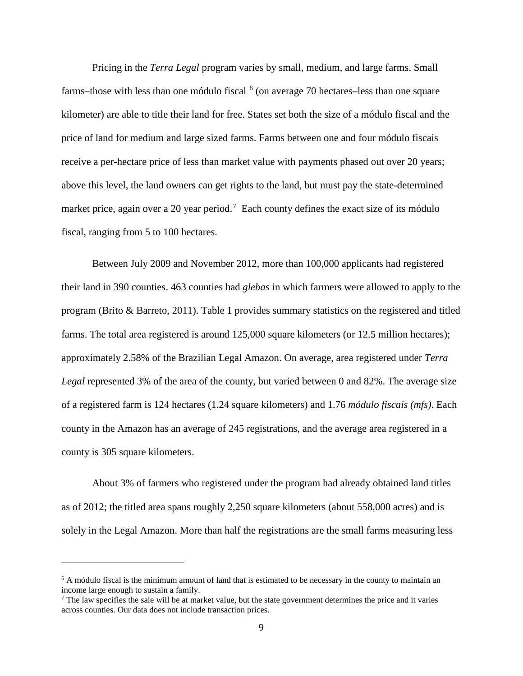Pricing in the *Terra Legal* program varies by small, medium, and large farms. Small farms–those with less than one módulo fiscal  $<sup>6</sup>$  $<sup>6</sup>$  $<sup>6</sup>$  (on average 70 hectares–less than one square</sup> kilometer) are able to title their land for free. States set both the size of a módulo fiscal and the price of land for medium and large sized farms. Farms between one and four módulo fiscais receive a per-hectare price of less than market value with payments phased out over 20 years; above this level, the land owners can get rights to the land, but must pay the state-determined market price, again over a 20 year period.<sup>[7](#page-8-1)</sup> Each county defines the exact size of its módulo fiscal, ranging from 5 to 100 hectares.

Between July 2009 and November 2012, more than 100,000 applicants had registered their land in 390 counties. 463 counties had *glebas* in which farmers were allowed to apply to the program (Brito & Barreto, 2011). Table 1 provides summary statistics on the registered and titled farms. The total area registered is around 125,000 square kilometers (or 12.5 million hectares); approximately 2.58% of the Brazilian Legal Amazon. On average, area registered under *Terra Legal* represented 3% of the area of the county, but varied between 0 and 82%. The average size of a registered farm is 124 hectares (1.24 square kilometers) and 1.76 *módulo fiscais (mfs)*. Each county in the Amazon has an average of 245 registrations, and the average area registered in a county is 305 square kilometers.

About 3% of farmers who registered under the program had already obtained land titles as of 2012; the titled area spans roughly 2,250 square kilometers (about 558,000 acres) and is solely in the Legal Amazon. More than half the registrations are the small farms measuring less

I

<span id="page-8-0"></span><sup>&</sup>lt;sup>6</sup> A módulo fiscal is the minimum amount of land that is estimated to be necessary in the county to maintain an income large enough to sustain a family.

<span id="page-8-1"></span> $<sup>7</sup>$  The law specifies the sale will be at market value, but the state government determines the price and it varies</sup> across counties. Our data does not include transaction prices.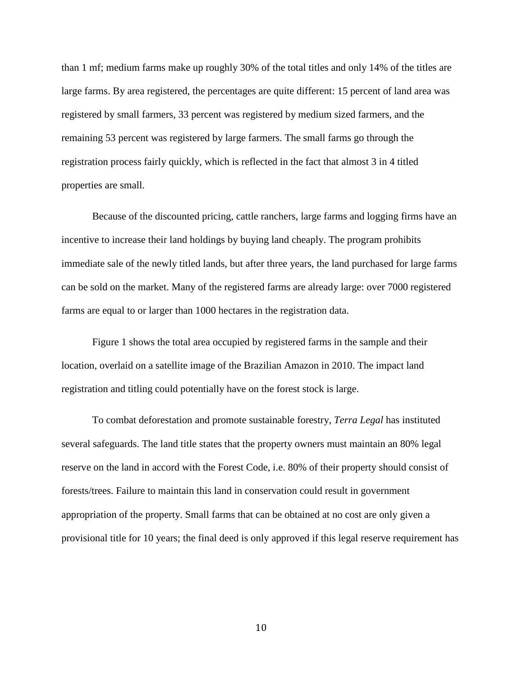than 1 mf; medium farms make up roughly 30% of the total titles and only 14% of the titles are large farms. By area registered, the percentages are quite different: 15 percent of land area was registered by small farmers, 33 percent was registered by medium sized farmers, and the remaining 53 percent was registered by large farmers. The small farms go through the registration process fairly quickly, which is reflected in the fact that almost 3 in 4 titled properties are small.

Because of the discounted pricing, cattle ranchers, large farms and logging firms have an incentive to increase their land holdings by buying land cheaply. The program prohibits immediate sale of the newly titled lands, but after three years, the land purchased for large farms can be sold on the market. Many of the registered farms are already large: over 7000 registered farms are equal to or larger than 1000 hectares in the registration data.

Figure 1 shows the total area occupied by registered farms in the sample and their location, overlaid on a satellite image of the Brazilian Amazon in 2010. The impact land registration and titling could potentially have on the forest stock is large.

To combat deforestation and promote sustainable forestry, *Terra Legal* has instituted several safeguards. The land title states that the property owners must maintain an 80% legal reserve on the land in accord with the Forest Code, i.e. 80% of their property should consist of forests/trees. Failure to maintain this land in conservation could result in government appropriation of the property. Small farms that can be obtained at no cost are only given a provisional title for 10 years; the final deed is only approved if this legal reserve requirement has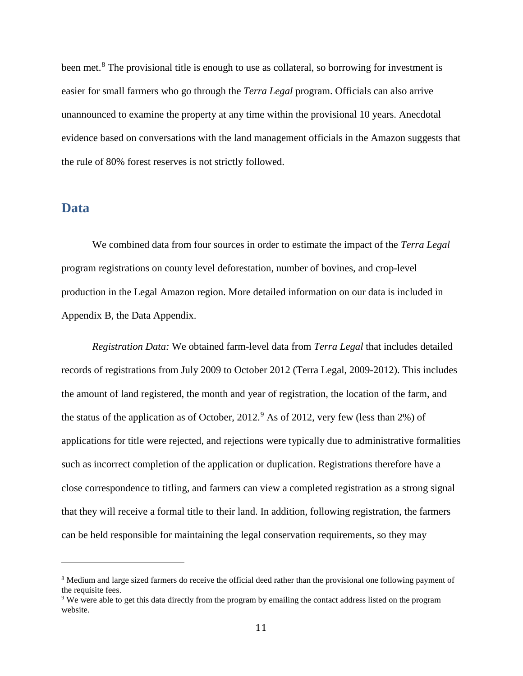been met.<sup>[8](#page-10-0)</sup> The provisional title is enough to use as collateral, so borrowing for investment is easier for small farmers who go through the *Terra Legal* program. Officials can also arrive unannounced to examine the property at any time within the provisional 10 years. Anecdotal evidence based on conversations with the land management officials in the Amazon suggests that the rule of 80% forest reserves is not strictly followed.

#### **Data**

I

We combined data from four sources in order to estimate the impact of the *Terra Legal* program registrations on county level deforestation, number of bovines, and crop-level production in the Legal Amazon region. More detailed information on our data is included in Appendix B, the Data Appendix.

*Registration Data:* We obtained farm-level data from *Terra Legal* that includes detailed records of registrations from July 2009 to October 2012 (Terra Legal, 2009-2012). This includes the amount of land registered, the month and year of registration, the location of the farm, and the status of the application as of October,  $2012<sup>9</sup>$  $2012<sup>9</sup>$  $2012<sup>9</sup>$  As of 2012, very few (less than 2%) of applications for title were rejected, and rejections were typically due to administrative formalities such as incorrect completion of the application or duplication. Registrations therefore have a close correspondence to titling, and farmers can view a completed registration as a strong signal that they will receive a formal title to their land. In addition, following registration, the farmers can be held responsible for maintaining the legal conservation requirements, so they may

<span id="page-10-0"></span><sup>&</sup>lt;sup>8</sup> Medium and large sized farmers do receive the official deed rather than the provisional one following payment of the requisite fees.

<span id="page-10-1"></span><sup>9</sup> We were able to get this data directly from the program by emailing the contact address listed on the program website.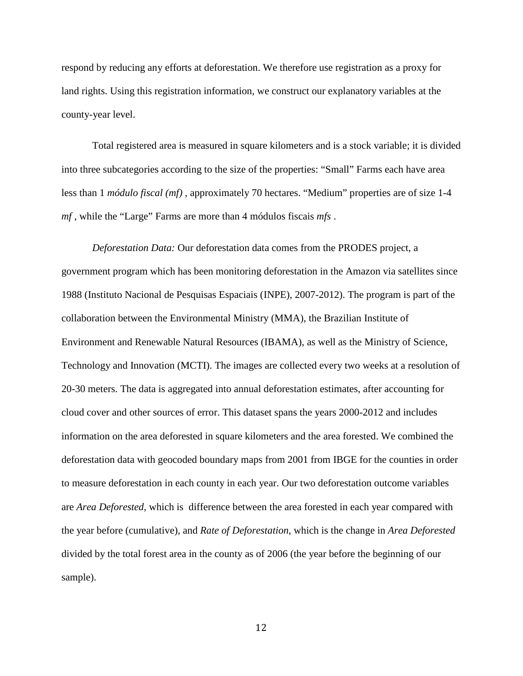respond by reducing any efforts at deforestation. We therefore use registration as a proxy for land rights. Using this registration information, we construct our explanatory variables at the county-year level.

Total registered area is measured in square kilometers and is a stock variable; it is divided into three subcategories according to the size of the properties: "Small" Farms each have area less than 1 *módulo fiscal (mf)* , approximately 70 hectares. "Medium" properties are of size 1-4 *mf* , while the "Large" Farms are more than 4 módulos fiscais *mfs* .

*Deforestation Data:* Our deforestation data comes from the PRODES project, a government program which has been monitoring deforestation in the Amazon via satellites since 1988 (Instituto Nacional de Pesquisas Espaciais (INPE), 2007-2012). The program is part of the collaboration between the Environmental Ministry (MMA), the Brazilian Institute of Environment and Renewable Natural Resources (IBAMA), as well as the Ministry of Science, Technology and Innovation (MCTI). The images are collected every two weeks at a resolution of 20-30 meters. The data is aggregated into annual deforestation estimates, after accounting for cloud cover and other sources of error. This dataset spans the years 2000-2012 and includes information on the area deforested in square kilometers and the area forested. We combined the deforestation data with geocoded boundary maps from 2001 from IBGE for the counties in order to measure deforestation in each county in each year. Our two deforestation outcome variables are *Area Deforested*, which is difference between the area forested in each year compared with the year before (cumulative), and *Rate of Deforestation*, which is the change in *Area Deforested* divided by the total forest area in the county as of 2006 (the year before the beginning of our sample).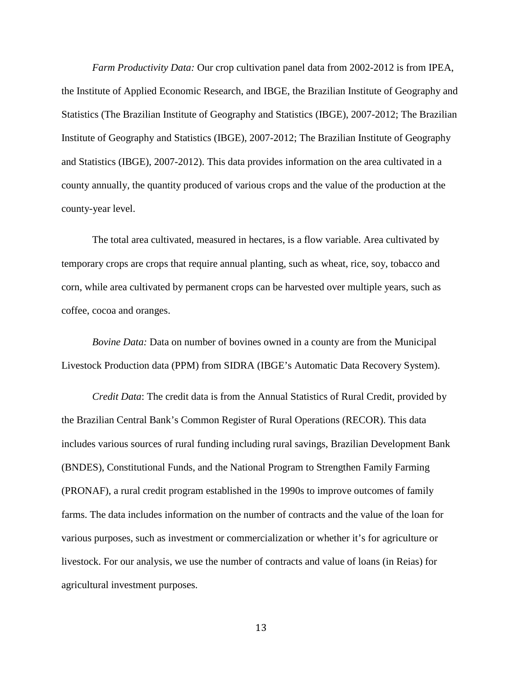*Farm Productivity Data:* Our crop cultivation panel data from 2002-2012 is from IPEA, the Institute of Applied Economic Research, and IBGE, the Brazilian Institute of Geography and Statistics (The Brazilian Institute of Geography and Statistics (IBGE), 2007-2012; The Brazilian Institute of Geography and Statistics (IBGE), 2007-2012; The Brazilian Institute of Geography and Statistics (IBGE), 2007-2012). This data provides information on the area cultivated in a county annually, the quantity produced of various crops and the value of the production at the county-year level.

The total area cultivated, measured in hectares, is a flow variable. Area cultivated by temporary crops are crops that require annual planting, such as wheat, rice, soy, tobacco and corn, while area cultivated by permanent crops can be harvested over multiple years, such as coffee, cocoa and oranges.

*Bovine Data:* Data on number of bovines owned in a county are from the Municipal Livestock Production data (PPM) from SIDRA (IBGE's Automatic Data Recovery System).

*Credit Data*: The credit data is from the Annual Statistics of Rural Credit, provided by the Brazilian Central Bank's Common Register of Rural Operations (RECOR). This data includes various sources of rural funding including rural savings, Brazilian Development Bank (BNDES), Constitutional Funds, and the National Program to Strengthen Family Farming (PRONAF), a rural credit program established in the 1990s to improve outcomes of family farms. The data includes information on the number of contracts and the value of the loan for various purposes, such as investment or commercialization or whether it's for agriculture or livestock. For our analysis, we use the number of contracts and value of loans (in Reias) for agricultural investment purposes.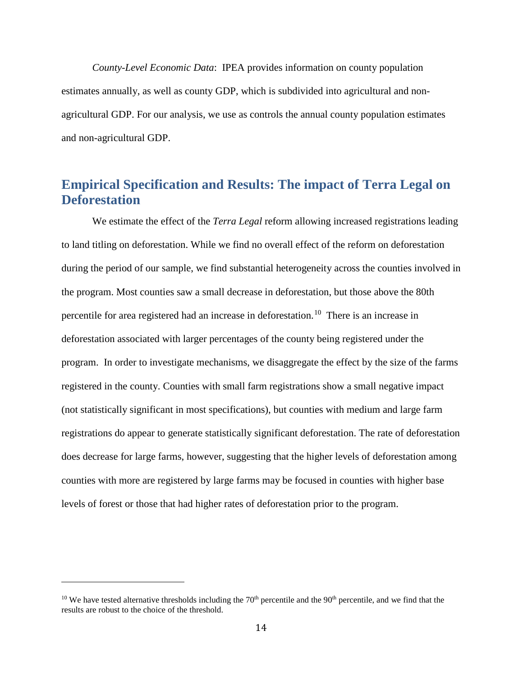*County-Level Economic Data*: IPEA provides information on county population estimates annually, as well as county GDP, which is subdivided into agricultural and nonagricultural GDP. For our analysis, we use as controls the annual county population estimates and non-agricultural GDP.

# **Empirical Specification and Results: The impact of Terra Legal on Deforestation**

We estimate the effect of the *Terra Legal* reform allowing increased registrations leading to land titling on deforestation. While we find no overall effect of the reform on deforestation during the period of our sample, we find substantial heterogeneity across the counties involved in the program. Most counties saw a small decrease in deforestation, but those above the 80th percentile for area registered had an increase in deforestation.[10](#page-13-0) There is an increase in deforestation associated with larger percentages of the county being registered under the program. In order to investigate mechanisms, we disaggregate the effect by the size of the farms registered in the county. Counties with small farm registrations show a small negative impact (not statistically significant in most specifications), but counties with medium and large farm registrations do appear to generate statistically significant deforestation. The rate of deforestation does decrease for large farms, however, suggesting that the higher levels of deforestation among counties with more are registered by large farms may be focused in counties with higher base levels of forest or those that had higher rates of deforestation prior to the program.

i<br>I

<span id="page-13-0"></span> $10$  We have tested alternative thresholds including the  $70<sup>th</sup>$  percentile and the  $90<sup>th</sup>$  percentile, and we find that the results are robust to the choice of the threshold.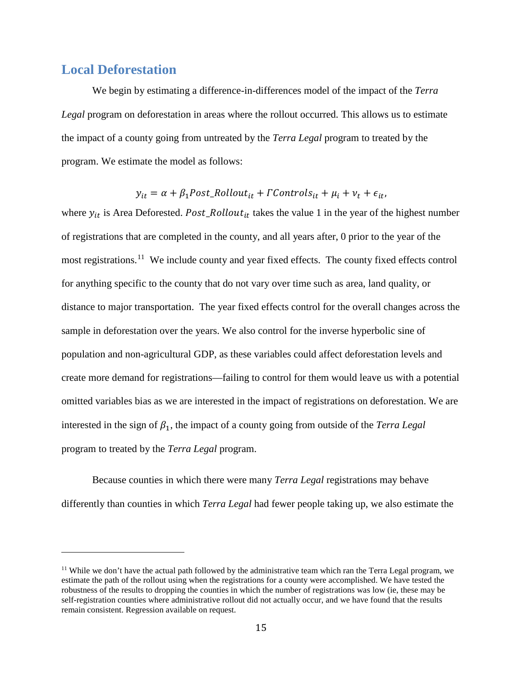#### **Local Deforestation**

i<br>I

We begin by estimating a difference-in-differences model of the impact of the *Terra Legal* program on deforestation in areas where the rollout occurred. This allows us to estimate the impact of a county going from untreated by the *Terra Legal* program to treated by the program. We estimate the model as follows:

$$
y_{it} = \alpha + \beta_1 Post\_Rollout_{it} + \Gamma Controls_{it} + \mu_i + \nu_t + \epsilon_{it},
$$

where  $y_{it}$  is Area Deforested. Post\_Rollout<sub>it</sub> takes the value 1 in the year of the highest number of registrations that are completed in the county, and all years after, 0 prior to the year of the most registrations.<sup>[11](#page-14-0)</sup> We include county and year fixed effects. The county fixed effects control for anything specific to the county that do not vary over time such as area, land quality, or distance to major transportation. The year fixed effects control for the overall changes across the sample in deforestation over the years. We also control for the inverse hyperbolic sine of population and non-agricultural GDP, as these variables could affect deforestation levels and create more demand for registrations—failing to control for them would leave us with a potential omitted variables bias as we are interested in the impact of registrations on deforestation. We are interested in the sign of  $\beta_1$ , the impact of a county going from outside of the *Terra Legal* program to treated by the *Terra Legal* program.

Because counties in which there were many *Terra Legal* registrations may behave differently than counties in which *Terra Legal* had fewer people taking up, we also estimate the

<span id="page-14-0"></span> $11$  While we don't have the actual path followed by the administrative team which ran the Terra Legal program, we estimate the path of the rollout using when the registrations for a county were accomplished. We have tested the robustness of the results to dropping the counties in which the number of registrations was low (ie, these may be self-registration counties where administrative rollout did not actually occur, and we have found that the results remain consistent. Regression available on request.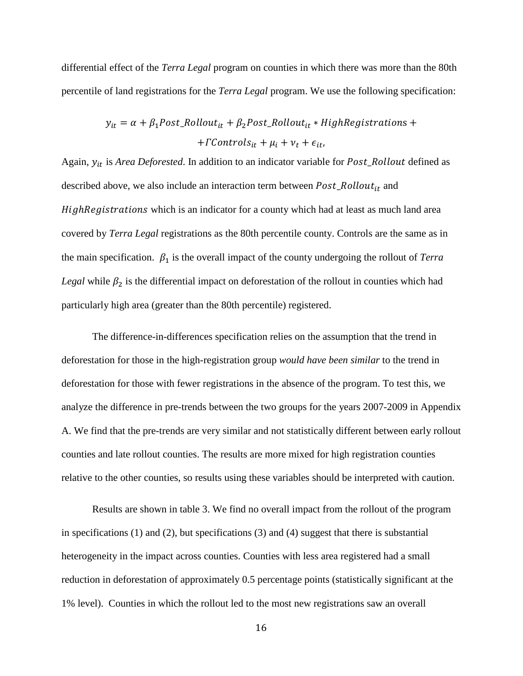differential effect of the *Terra Legal* program on counties in which there was more than the 80th percentile of land registrations for the *Terra Legal* program. We use the following specification:

$$
y_{it} = \alpha + \beta_1 Post\_Rollout_{it} + \beta_2 Post\_Rollout_{it} * High Regions + + \Gamma Controls_{it} + \mu_i + \nu_t + \epsilon_{it},
$$

Again,  $y_{it}$  is *Area Deforested*. In addition to an indicator variable for *Post\_Rollout* defined as described above, we also include an interaction term between  $Post\_Rollout_{it}$  and HighRegistrations which is an indicator for a county which had at least as much land area covered by *Terra Legal* registrations as the 80th percentile county. Controls are the same as in the main specification.  $\beta_1$  is the overall impact of the county undergoing the rollout of *Terra Legal* while  $\beta_2$  is the differential impact on deforestation of the rollout in counties which had particularly high area (greater than the 80th percentile) registered.

The difference-in-differences specification relies on the assumption that the trend in deforestation for those in the high-registration group *would have been similar* to the trend in deforestation for those with fewer registrations in the absence of the program. To test this, we analyze the difference in pre-trends between the two groups for the years 2007-2009 in Appendix A. We find that the pre-trends are very similar and not statistically different between early rollout counties and late rollout counties. The results are more mixed for high registration counties relative to the other counties, so results using these variables should be interpreted with caution.

Results are shown in table 3. We find no overall impact from the rollout of the program in specifications (1) and (2), but specifications (3) and (4) suggest that there is substantial heterogeneity in the impact across counties. Counties with less area registered had a small reduction in deforestation of approximately 0.5 percentage points (statistically significant at the 1% level). Counties in which the rollout led to the most new registrations saw an overall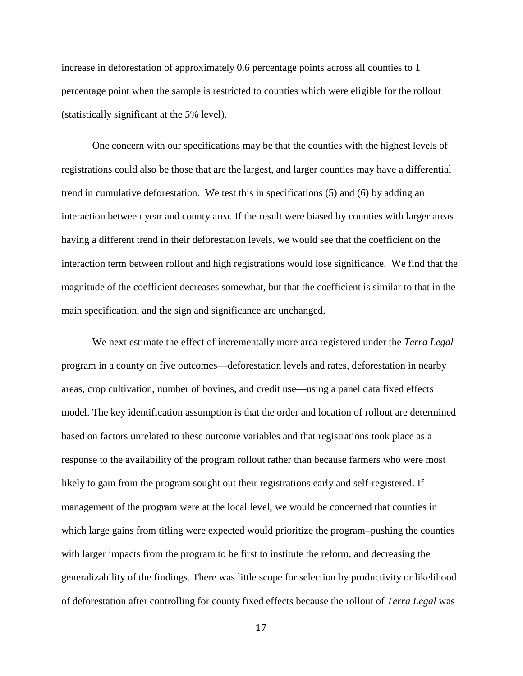increase in deforestation of approximately 0.6 percentage points across all counties to 1 percentage point when the sample is restricted to counties which were eligible for the rollout (statistically significant at the 5% level).

One concern with our specifications may be that the counties with the highest levels of registrations could also be those that are the largest, and larger counties may have a differential trend in cumulative deforestation. We test this in specifications (5) and (6) by adding an interaction between year and county area. If the result were biased by counties with larger areas having a different trend in their deforestation levels, we would see that the coefficient on the interaction term between rollout and high registrations would lose significance. We find that the magnitude of the coefficient decreases somewhat, but that the coefficient is similar to that in the main specification, and the sign and significance are unchanged.

We next estimate the effect of incrementally more area registered under the *Terra Legal* program in a county on five outcomes—deforestation levels and rates, deforestation in nearby areas, crop cultivation, number of bovines, and credit use—using a panel data fixed effects model. The key identification assumption is that the order and location of rollout are determined based on factors unrelated to these outcome variables and that registrations took place as a response to the availability of the program rollout rather than because farmers who were most likely to gain from the program sought out their registrations early and self-registered. If management of the program were at the local level, we would be concerned that counties in which large gains from titling were expected would prioritize the program–pushing the counties with larger impacts from the program to be first to institute the reform, and decreasing the generalizability of the findings. There was little scope for selection by productivity or likelihood of deforestation after controlling for county fixed effects because the rollout of *Terra Legal* was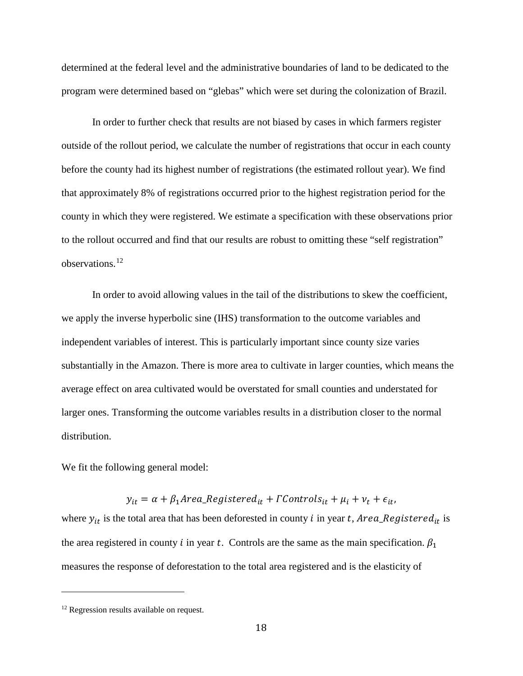determined at the federal level and the administrative boundaries of land to be dedicated to the program were determined based on "glebas" which were set during the colonization of Brazil.

In order to further check that results are not biased by cases in which farmers register outside of the rollout period, we calculate the number of registrations that occur in each county before the county had its highest number of registrations (the estimated rollout year). We find that approximately 8% of registrations occurred prior to the highest registration period for the county in which they were registered. We estimate a specification with these observations prior to the rollout occurred and find that our results are robust to omitting these "self registration" observations.[12](#page-17-0)

In order to avoid allowing values in the tail of the distributions to skew the coefficient, we apply the inverse hyperbolic sine (IHS) transformation to the outcome variables and independent variables of interest. This is particularly important since county size varies substantially in the Amazon. There is more area to cultivate in larger counties, which means the average effect on area cultivated would be overstated for small counties and understated for larger ones. Transforming the outcome variables results in a distribution closer to the normal distribution.

We fit the following general model:

 $y_{it} = \alpha + \beta_1 Area\_Registered_{it} + \Gamma Controls_{it} + \mu_i + \nu_t + \epsilon_{it},$ where  $y_{it}$  is the total area that has been deforested in county i in year t, Area\_Registered<sub>it</sub> is the area registered in county i in year t. Controls are the same as the main specification.  $\beta_1$ measures the response of deforestation to the total area registered and is the elasticity of

i<br>I

<span id="page-17-0"></span><sup>&</sup>lt;sup>12</sup> Regression results available on request.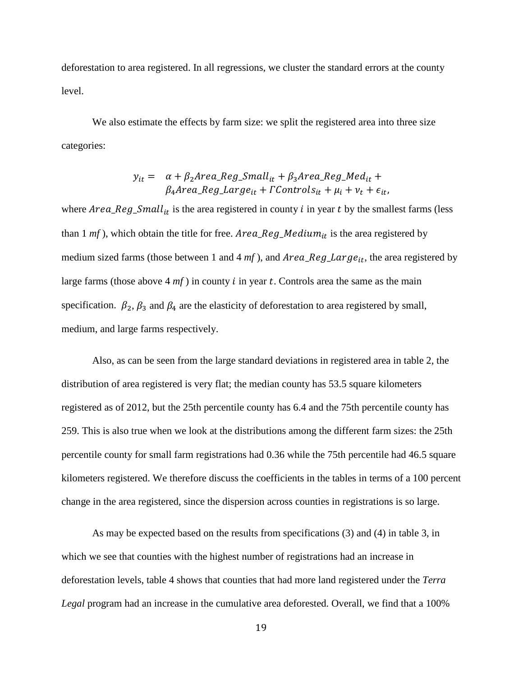deforestation to area registered. In all regressions, we cluster the standard errors at the county level.

We also estimate the effects by farm size: we split the registered area into three size categories:

$$
y_{it} = \alpha + \beta_2 Area\_Reg\_Small_{it} + \beta_3 Area\_Reg\_Med_{it} + \beta_4 Area\_Reg\_Large_{it} + \Gamma controls_{it} + \mu_i + \nu_t + \epsilon_{it},
$$

where  $Area\_Reg\_Small_{it}$  is the area registered in county i in year t by the smallest farms (less than 1  $mf$ ), which obtain the title for free. *Area\_Reg\_Medium<sub>it</sub>* is the area registered by medium sized farms (those between 1 and 4  $mf$ ), and  $Area\_Reg\_Large_{it}$ , the area registered by large farms (those above  $4 *mf*$ ) in county *i* in year *t*. Controls area the same as the main specification.  $\beta_2$ ,  $\beta_3$  and  $\beta_4$  are the elasticity of deforestation to area registered by small, medium, and large farms respectively.

Also, as can be seen from the large standard deviations in registered area in table 2, the distribution of area registered is very flat; the median county has 53.5 square kilometers registered as of 2012, but the 25th percentile county has 6.4 and the 75th percentile county has 259. This is also true when we look at the distributions among the different farm sizes: the 25th percentile county for small farm registrations had 0.36 while the 75th percentile had 46.5 square kilometers registered. We therefore discuss the coefficients in the tables in terms of a 100 percent change in the area registered, since the dispersion across counties in registrations is so large.

As may be expected based on the results from specifications (3) and (4) in table 3, in which we see that counties with the highest number of registrations had an increase in deforestation levels, table 4 shows that counties that had more land registered under the *Terra Legal* program had an increase in the cumulative area deforested. Overall, we find that a 100%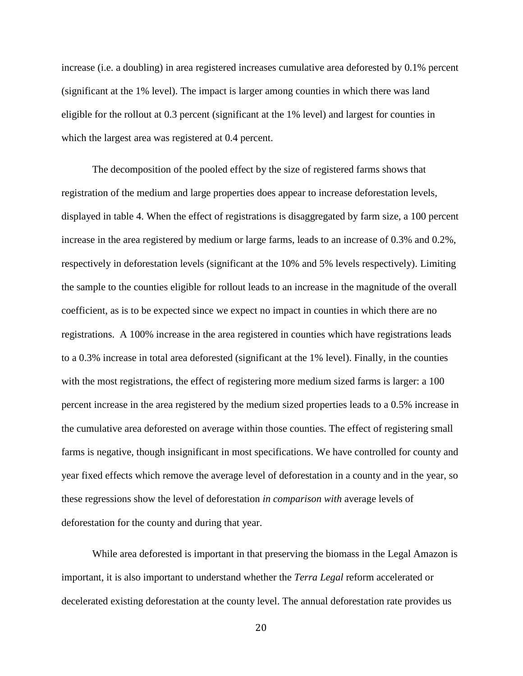increase (i.e. a doubling) in area registered increases cumulative area deforested by 0.1% percent (significant at the 1% level). The impact is larger among counties in which there was land eligible for the rollout at 0.3 percent (significant at the 1% level) and largest for counties in which the largest area was registered at 0.4 percent.

The decomposition of the pooled effect by the size of registered farms shows that registration of the medium and large properties does appear to increase deforestation levels, displayed in table 4. When the effect of registrations is disaggregated by farm size, a 100 percent increase in the area registered by medium or large farms, leads to an increase of 0.3% and 0.2%, respectively in deforestation levels (significant at the 10% and 5% levels respectively). Limiting the sample to the counties eligible for rollout leads to an increase in the magnitude of the overall coefficient, as is to be expected since we expect no impact in counties in which there are no registrations. A 100% increase in the area registered in counties which have registrations leads to a 0.3% increase in total area deforested (significant at the 1% level). Finally, in the counties with the most registrations, the effect of registering more medium sized farms is larger: a 100 percent increase in the area registered by the medium sized properties leads to a 0.5% increase in the cumulative area deforested on average within those counties. The effect of registering small farms is negative, though insignificant in most specifications. We have controlled for county and year fixed effects which remove the average level of deforestation in a county and in the year, so these regressions show the level of deforestation *in comparison with* average levels of deforestation for the county and during that year.

While area deforested is important in that preserving the biomass in the Legal Amazon is important, it is also important to understand whether the *Terra Legal* reform accelerated or decelerated existing deforestation at the county level. The annual deforestation rate provides us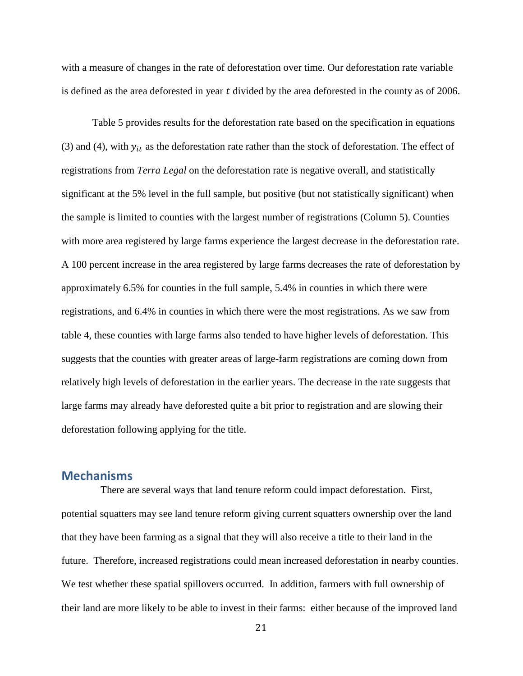with a measure of changes in the rate of deforestation over time. Our deforestation rate variable is defined as the area deforested in year  $t$  divided by the area deforested in the county as of 2006.

Table 5 provides results for the deforestation rate based on the specification in equations (3) and (4), with  $y_{it}$  as the deforestation rate rather than the stock of deforestation. The effect of registrations from *Terra Legal* on the deforestation rate is negative overall, and statistically significant at the 5% level in the full sample, but positive (but not statistically significant) when the sample is limited to counties with the largest number of registrations (Column 5). Counties with more area registered by large farms experience the largest decrease in the deforestation rate. A 100 percent increase in the area registered by large farms decreases the rate of deforestation by approximately 6.5% for counties in the full sample, 5.4% in counties in which there were registrations, and 6.4% in counties in which there were the most registrations. As we saw from table 4, these counties with large farms also tended to have higher levels of deforestation. This suggests that the counties with greater areas of large-farm registrations are coming down from relatively high levels of deforestation in the earlier years. The decrease in the rate suggests that large farms may already have deforested quite a bit prior to registration and are slowing their deforestation following applying for the title.

#### **Mechanisms**

There are several ways that land tenure reform could impact deforestation. First, potential squatters may see land tenure reform giving current squatters ownership over the land that they have been farming as a signal that they will also receive a title to their land in the future. Therefore, increased registrations could mean increased deforestation in nearby counties. We test whether these spatial spillovers occurred. In addition, farmers with full ownership of their land are more likely to be able to invest in their farms: either because of the improved land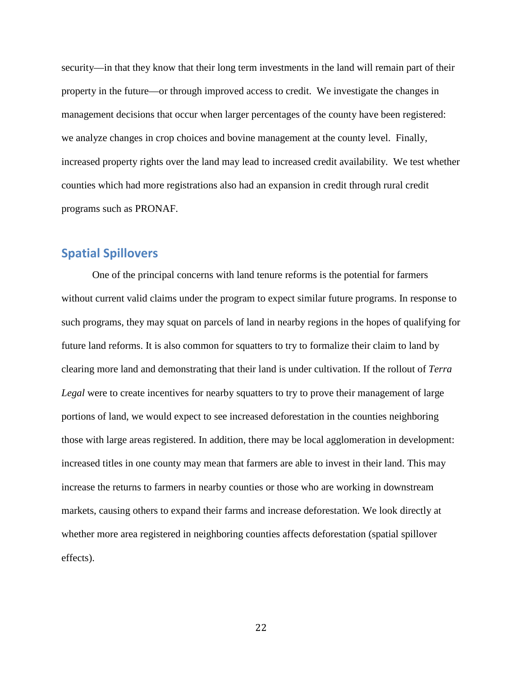security—in that they know that their long term investments in the land will remain part of their property in the future—or through improved access to credit. We investigate the changes in management decisions that occur when larger percentages of the county have been registered: we analyze changes in crop choices and bovine management at the county level. Finally, increased property rights over the land may lead to increased credit availability. We test whether counties which had more registrations also had an expansion in credit through rural credit programs such as PRONAF.

#### **Spatial Spillovers**

One of the principal concerns with land tenure reforms is the potential for farmers without current valid claims under the program to expect similar future programs. In response to such programs, they may squat on parcels of land in nearby regions in the hopes of qualifying for future land reforms. It is also common for squatters to try to formalize their claim to land by clearing more land and demonstrating that their land is under cultivation. If the rollout of *Terra Legal* were to create incentives for nearby squatters to try to prove their management of large portions of land, we would expect to see increased deforestation in the counties neighboring those with large areas registered. In addition, there may be local agglomeration in development: increased titles in one county may mean that farmers are able to invest in their land. This may increase the returns to farmers in nearby counties or those who are working in downstream markets, causing others to expand their farms and increase deforestation. We look directly at whether more area registered in neighboring counties affects deforestation (spatial spillover effects).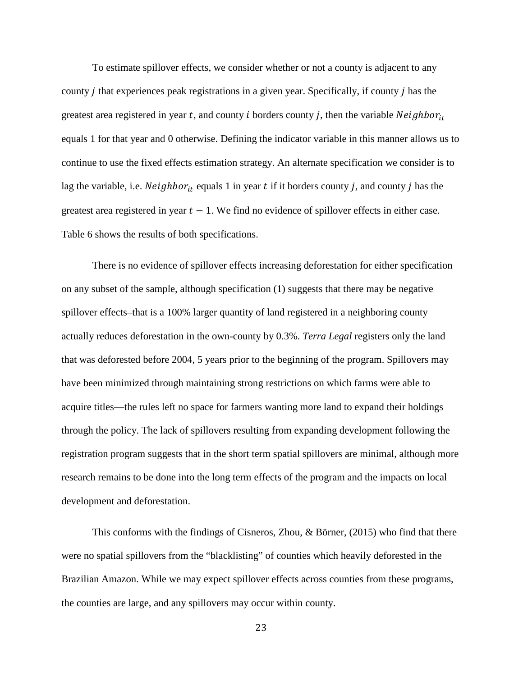To estimate spillover effects, we consider whether or not a county is adjacent to any county *j* that experiences peak registrations in a given year. Specifically, if county *j* has the greatest area registered in year t, and county i borders county j, then the variable  $Neighbour_{it}$ equals 1 for that year and 0 otherwise. Defining the indicator variable in this manner allows us to continue to use the fixed effects estimation strategy. An alternate specification we consider is to lag the variable, i.e.  $Neighbour_{it}$  equals 1 in year t if it borders county j, and county j has the greatest area registered in year  $t - 1$ . We find no evidence of spillover effects in either case. Table 6 shows the results of both specifications.

There is no evidence of spillover effects increasing deforestation for either specification on any subset of the sample, although specification (1) suggests that there may be negative spillover effects–that is a 100% larger quantity of land registered in a neighboring county actually reduces deforestation in the own-county by 0.3%. *Terra Legal* registers only the land that was deforested before 2004, 5 years prior to the beginning of the program. Spillovers may have been minimized through maintaining strong restrictions on which farms were able to acquire titles—the rules left no space for farmers wanting more land to expand their holdings through the policy. The lack of spillovers resulting from expanding development following the registration program suggests that in the short term spatial spillovers are minimal, although more research remains to be done into the long term effects of the program and the impacts on local development and deforestation.

This conforms with the findings of Cisneros, Zhou, & Börner, (2015) who find that there were no spatial spillovers from the "blacklisting" of counties which heavily deforested in the Brazilian Amazon. While we may expect spillover effects across counties from these programs, the counties are large, and any spillovers may occur within county.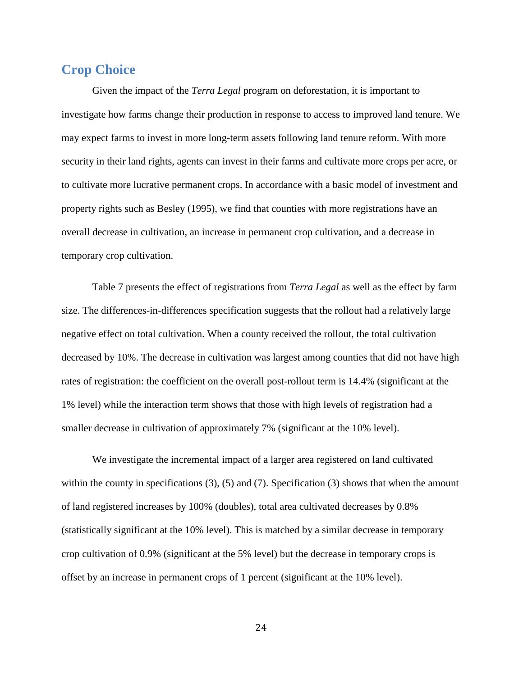### **Crop Choice**

Given the impact of the *Terra Legal* program on deforestation, it is important to investigate how farms change their production in response to access to improved land tenure. We may expect farms to invest in more long-term assets following land tenure reform. With more security in their land rights, agents can invest in their farms and cultivate more crops per acre, or to cultivate more lucrative permanent crops. In accordance with a basic model of investment and property rights such as Besley (1995), we find that counties with more registrations have an overall decrease in cultivation, an increase in permanent crop cultivation, and a decrease in temporary crop cultivation.

Table 7 presents the effect of registrations from *Terra Legal* as well as the effect by farm size. The differences-in-differences specification suggests that the rollout had a relatively large negative effect on total cultivation. When a county received the rollout, the total cultivation decreased by 10%. The decrease in cultivation was largest among counties that did not have high rates of registration: the coefficient on the overall post-rollout term is 14.4% (significant at the 1% level) while the interaction term shows that those with high levels of registration had a smaller decrease in cultivation of approximately 7% (significant at the 10% level).

We investigate the incremental impact of a larger area registered on land cultivated within the county in specifications (3), (5) and (7). Specification (3) shows that when the amount of land registered increases by 100% (doubles), total area cultivated decreases by 0.8% (statistically significant at the 10% level). This is matched by a similar decrease in temporary crop cultivation of 0.9% (significant at the 5% level) but the decrease in temporary crops is offset by an increase in permanent crops of 1 percent (significant at the 10% level).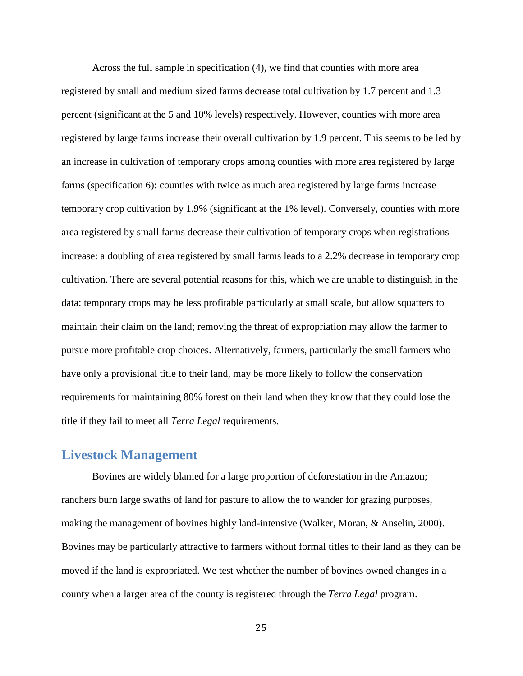Across the full sample in specification (4), we find that counties with more area registered by small and medium sized farms decrease total cultivation by 1.7 percent and 1.3 percent (significant at the 5 and 10% levels) respectively. However, counties with more area registered by large farms increase their overall cultivation by 1.9 percent. This seems to be led by an increase in cultivation of temporary crops among counties with more area registered by large farms (specification 6): counties with twice as much area registered by large farms increase temporary crop cultivation by 1.9% (significant at the 1% level). Conversely, counties with more area registered by small farms decrease their cultivation of temporary crops when registrations increase: a doubling of area registered by small farms leads to a 2.2% decrease in temporary crop cultivation. There are several potential reasons for this, which we are unable to distinguish in the data: temporary crops may be less profitable particularly at small scale, but allow squatters to maintain their claim on the land; removing the threat of expropriation may allow the farmer to pursue more profitable crop choices. Alternatively, farmers, particularly the small farmers who have only a provisional title to their land, may be more likely to follow the conservation requirements for maintaining 80% forest on their land when they know that they could lose the title if they fail to meet all *Terra Legal* requirements.

#### **Livestock Management**

Bovines are widely blamed for a large proportion of deforestation in the Amazon; ranchers burn large swaths of land for pasture to allow the to wander for grazing purposes, making the management of bovines highly land-intensive (Walker, Moran, & Anselin, 2000). Bovines may be particularly attractive to farmers without formal titles to their land as they can be moved if the land is expropriated. We test whether the number of bovines owned changes in a county when a larger area of the county is registered through the *Terra Legal* program.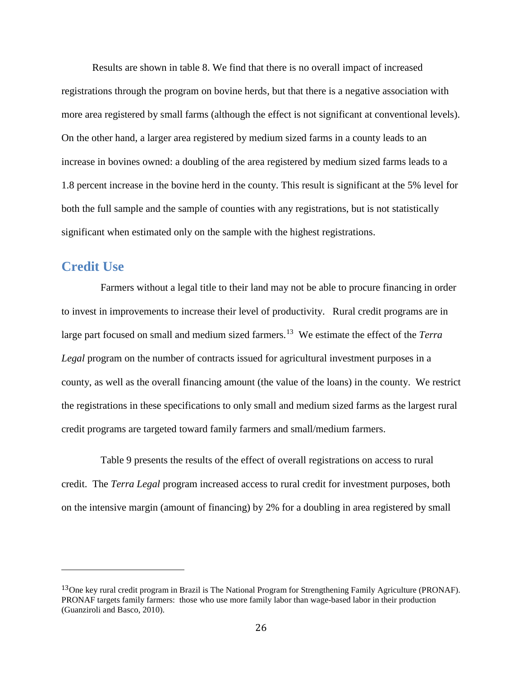Results are shown in table 8. We find that there is no overall impact of increased registrations through the program on bovine herds, but that there is a negative association with more area registered by small farms (although the effect is not significant at conventional levels). On the other hand, a larger area registered by medium sized farms in a county leads to an increase in bovines owned: a doubling of the area registered by medium sized farms leads to a 1.8 percent increase in the bovine herd in the county. This result is significant at the 5% level for both the full sample and the sample of counties with any registrations, but is not statistically significant when estimated only on the sample with the highest registrations.

#### **Credit Use**

I

Farmers without a legal title to their land may not be able to procure financing in order to invest in improvements to increase their level of productivity. Rural credit programs are in large part focused on small and medium sized farmers.[13](#page-25-0) We estimate the effect of the *Terra Legal* program on the number of contracts issued for agricultural investment purposes in a county, as well as the overall financing amount (the value of the loans) in the county. We restrict the registrations in these specifications to only small and medium sized farms as the largest rural credit programs are targeted toward family farmers and small/medium farmers.

Table 9 presents the results of the effect of overall registrations on access to rural credit. The *Terra Legal* program increased access to rural credit for investment purposes, both on the intensive margin (amount of financing) by 2% for a doubling in area registered by small

<span id="page-25-0"></span><sup>&</sup>lt;sup>13</sup>One key rural credit program in Brazil is The National Program for Strengthening Family Agriculture (PRONAF). PRONAF targets family farmers: those who use more family labor than wage-based labor in their production (Guanziroli and Basco, 2010).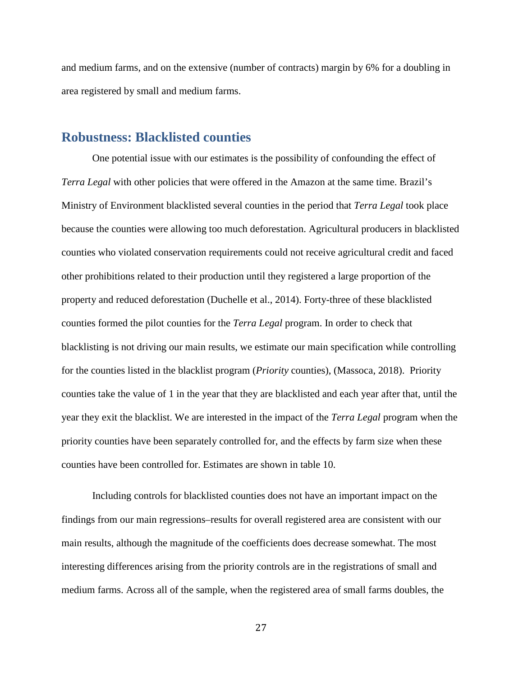and medium farms, and on the extensive (number of contracts) margin by 6% for a doubling in area registered by small and medium farms.

#### **Robustness: Blacklisted counties**

One potential issue with our estimates is the possibility of confounding the effect of *Terra Legal* with other policies that were offered in the Amazon at the same time. Brazil's Ministry of Environment blacklisted several counties in the period that *Terra Legal* took place because the counties were allowing too much deforestation. Agricultural producers in blacklisted counties who violated conservation requirements could not receive agricultural credit and faced other prohibitions related to their production until they registered a large proportion of the property and reduced deforestation (Duchelle et al., 2014). Forty-three of these blacklisted counties formed the pilot counties for the *Terra Legal* program. In order to check that blacklisting is not driving our main results, we estimate our main specification while controlling for the counties listed in the blacklist program (*Priority* counties), (Massoca, 2018). Priority counties take the value of 1 in the year that they are blacklisted and each year after that, until the year they exit the blacklist. We are interested in the impact of the *Terra Legal* program when the priority counties have been separately controlled for, and the effects by farm size when these counties have been controlled for. Estimates are shown in table 10.

Including controls for blacklisted counties does not have an important impact on the findings from our main regressions–results for overall registered area are consistent with our main results, although the magnitude of the coefficients does decrease somewhat. The most interesting differences arising from the priority controls are in the registrations of small and medium farms. Across all of the sample, when the registered area of small farms doubles, the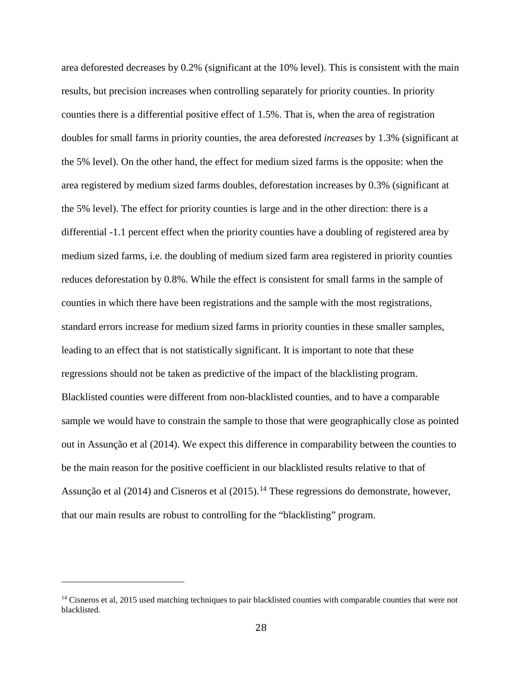area deforested decreases by 0.2% (significant at the 10% level). This is consistent with the main results, but precision increases when controlling separately for priority counties. In priority counties there is a differential positive effect of 1.5%. That is, when the area of registration doubles for small farms in priority counties, the area deforested *increases* by 1.3% (significant at the 5% level). On the other hand, the effect for medium sized farms is the opposite: when the area registered by medium sized farms doubles, deforestation increases by 0.3% (significant at the 5% level). The effect for priority counties is large and in the other direction: there is a differential -1.1 percent effect when the priority counties have a doubling of registered area by medium sized farms, i.e. the doubling of medium sized farm area registered in priority counties reduces deforestation by 0.8%. While the effect is consistent for small farms in the sample of counties in which there have been registrations and the sample with the most registrations, standard errors increase for medium sized farms in priority counties in these smaller samples, leading to an effect that is not statistically significant. It is important to note that these regressions should not be taken as predictive of the impact of the blacklisting program. Blacklisted counties were different from non-blacklisted counties, and to have a comparable sample we would have to constrain the sample to those that were geographically close as pointed out in Assunção et al (2014). We expect this difference in comparability between the counties to be the main reason for the positive coefficient in our blacklisted results relative to that of Assunção et al (20[14](#page-27-0)) and Cisneros et al (2015).<sup>14</sup> These regressions do demonstrate, however, that our main results are robust to controlling for the "blacklisting" program.

i<br>I

<span id="page-27-0"></span> $14$  Cisneros et al, 2015 used matching techniques to pair blacklisted counties with comparable counties that were not blacklisted.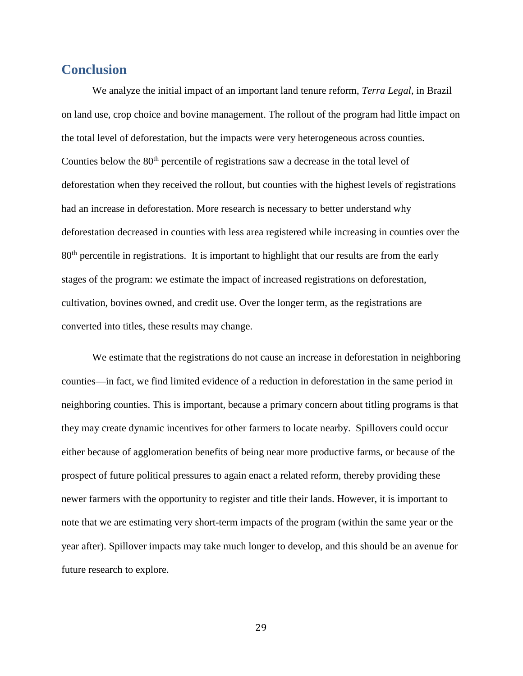### **Conclusion**

We analyze the initial impact of an important land tenure reform, *Terra Legal*, in Brazil on land use, crop choice and bovine management. The rollout of the program had little impact on the total level of deforestation, but the impacts were very heterogeneous across counties. Counties below the 80<sup>th</sup> percentile of registrations saw a decrease in the total level of deforestation when they received the rollout, but counties with the highest levels of registrations had an increase in deforestation. More research is necessary to better understand why deforestation decreased in counties with less area registered while increasing in counties over the 80<sup>th</sup> percentile in registrations. It is important to highlight that our results are from the early stages of the program: we estimate the impact of increased registrations on deforestation, cultivation, bovines owned, and credit use. Over the longer term, as the registrations are converted into titles, these results may change.

We estimate that the registrations do not cause an increase in deforestation in neighboring counties—in fact, we find limited evidence of a reduction in deforestation in the same period in neighboring counties. This is important, because a primary concern about titling programs is that they may create dynamic incentives for other farmers to locate nearby. Spillovers could occur either because of agglomeration benefits of being near more productive farms, or because of the prospect of future political pressures to again enact a related reform, thereby providing these newer farmers with the opportunity to register and title their lands. However, it is important to note that we are estimating very short-term impacts of the program (within the same year or the year after). Spillover impacts may take much longer to develop, and this should be an avenue for future research to explore.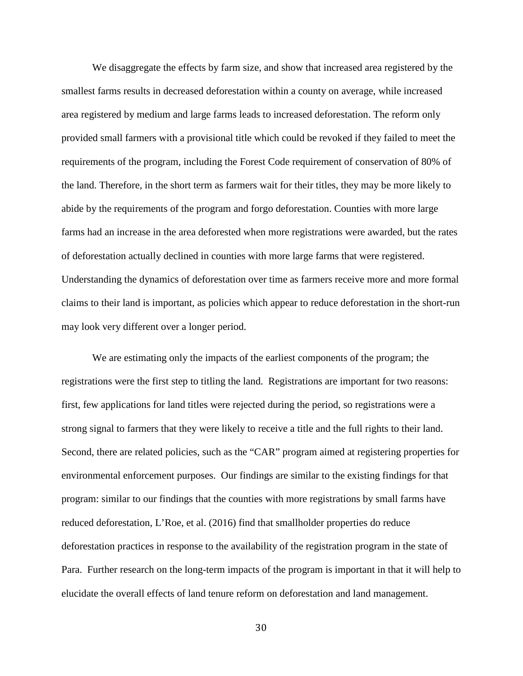We disaggregate the effects by farm size, and show that increased area registered by the smallest farms results in decreased deforestation within a county on average, while increased area registered by medium and large farms leads to increased deforestation. The reform only provided small farmers with a provisional title which could be revoked if they failed to meet the requirements of the program, including the Forest Code requirement of conservation of 80% of the land. Therefore, in the short term as farmers wait for their titles, they may be more likely to abide by the requirements of the program and forgo deforestation. Counties with more large farms had an increase in the area deforested when more registrations were awarded, but the rates of deforestation actually declined in counties with more large farms that were registered. Understanding the dynamics of deforestation over time as farmers receive more and more formal claims to their land is important, as policies which appear to reduce deforestation in the short-run may look very different over a longer period.

We are estimating only the impacts of the earliest components of the program; the registrations were the first step to titling the land. Registrations are important for two reasons: first, few applications for land titles were rejected during the period, so registrations were a strong signal to farmers that they were likely to receive a title and the full rights to their land. Second, there are related policies, such as the "CAR" program aimed at registering properties for environmental enforcement purposes. Our findings are similar to the existing findings for that program: similar to our findings that the counties with more registrations by small farms have reduced deforestation, L'Roe, et al. (2016) find that smallholder properties do reduce deforestation practices in response to the availability of the registration program in the state of Para. Further research on the long-term impacts of the program is important in that it will help to elucidate the overall effects of land tenure reform on deforestation and land management.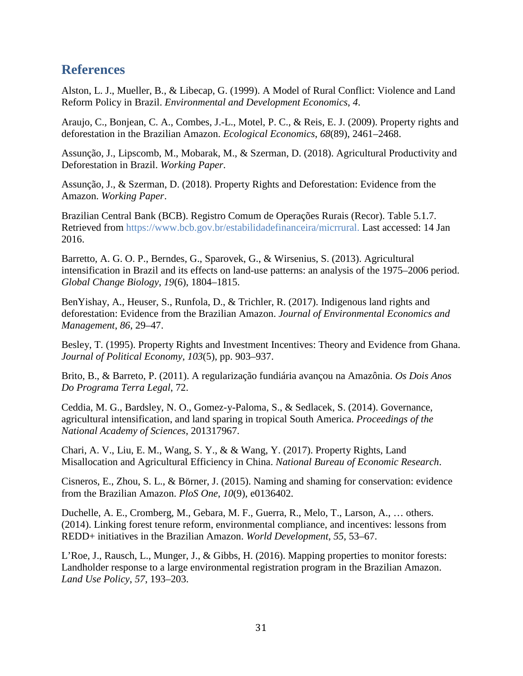### **References**

Alston, L. J., Mueller, B., & Libecap, G. (1999). A Model of Rural Conflict: Violence and Land Reform Policy in Brazil. *Environmental and Development Economics*, *4*.

Araujo, C., Bonjean, C. A., Combes, J.-L., Motel, P. C., & Reis, E. J. (2009). Property rights and deforestation in the Brazilian Amazon. *Ecological Economics*, *68*(89), 2461–2468.

Assunção, J., Lipscomb, M., Mobarak, M., & Szerman, D. (2018). Agricultural Productivity and Deforestation in Brazil. *Working Paper*.

Assunção, J., & Szerman, D. (2018). Property Rights and Deforestation: Evidence from the Amazon. *Working Paper*.

Brazilian Central Bank (BCB). Registro Comum de Operações Rurais (Recor). Table 5.1.7. Retrieved from<https://www.bcb.gov.br/estabilidadefinanceira/micrrural.> Last accessed: 14 Jan 2016.

Barretto, A. G. O. P., Berndes, G., Sparovek, G., & Wirsenius, S. (2013). Agricultural intensification in Brazil and its effects on land-use patterns: an analysis of the 1975–2006 period. *Global Change Biology*, *19*(6), 1804–1815.

BenYishay, A., Heuser, S., Runfola, D., & Trichler, R. (2017). Indigenous land rights and deforestation: Evidence from the Brazilian Amazon. *Journal of Environmental Economics and Management*, *86*, 29–47.

Besley, T. (1995). Property Rights and Investment Incentives: Theory and Evidence from Ghana. *Journal of Political Economy*, *103*(5), pp. 903–937.

Brito, B., & Barreto, P. (2011). A regularização fundiária avançou na Amazônia. *Os Dois Anos Do Programa Terra Legal*, 72.

Ceddia, M. G., Bardsley, N. O., Gomez-y-Paloma, S., & Sedlacek, S. (2014). Governance, agricultural intensification, and land sparing in tropical South America. *Proceedings of the National Academy of Sciences*, 201317967.

Chari, A. V., Liu, E. M., Wang, S. Y., & & Wang, Y. (2017). Property Rights, Land Misallocation and Agricultural Efficiency in China. *National Bureau of Economic Research*.

Cisneros, E., Zhou, S. L., & Börner, J. (2015). Naming and shaming for conservation: evidence from the Brazilian Amazon. *PloS One*, *10*(9), e0136402.

Duchelle, A. E., Cromberg, M., Gebara, M. F., Guerra, R., Melo, T., Larson, A., … others. (2014). Linking forest tenure reform, environmental compliance, and incentives: lessons from REDD+ initiatives in the Brazilian Amazon. *World Development*, *55*, 53–67.

L'Roe, J., Rausch, L., Munger, J., & Gibbs, H. (2016). Mapping properties to monitor forests: Landholder response to a large environmental registration program in the Brazilian Amazon. *Land Use Policy*, *57*, 193–203.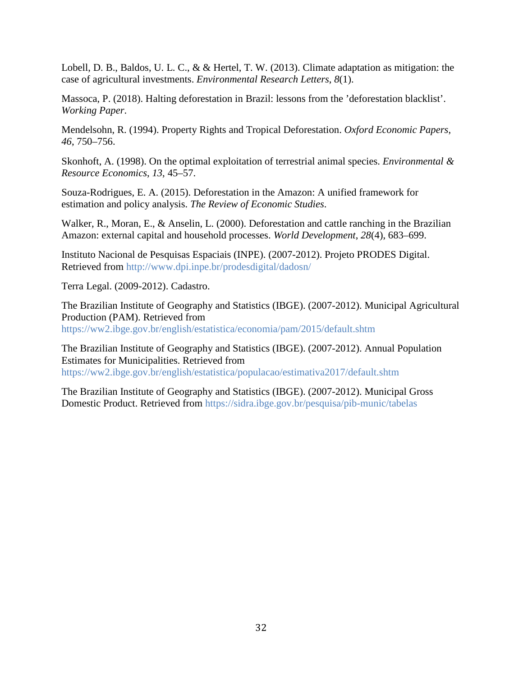Lobell, D. B., Baldos, U. L. C., & & Hertel, T. W. (2013). Climate adaptation as mitigation: the case of agricultural investments. *Environmental Research Letters*, *8*(1).

Massoca, P. (2018). Halting deforestation in Brazil: lessons from the 'deforestation blacklist'. *Working Paper*.

Mendelsohn, R. (1994). Property Rights and Tropical Deforestation. *Oxford Economic Papers*, *46*, 750–756.

Skonhoft, A. (1998). On the optimal exploitation of terrestrial animal species. *Environmental & Resource Economics*, *13*, 45–57.

Souza-Rodrigues, E. A. (2015). Deforestation in the Amazon: A unified framework for estimation and policy analysis. *The Review of Economic Studies*.

Walker, R., Moran, E., & Anselin, L. (2000). Deforestation and cattle ranching in the Brazilian Amazon: external capital and household processes. *World Development*, *28*(4), 683–699.

Instituto Nacional de Pesquisas Espaciais (INPE). (2007-2012). Projeto PRODES Digital. Retrieved from<http://www.dpi.inpe.br/prodesdigital/dadosn/>

Terra Legal. (2009-2012). Cadastro.

The Brazilian Institute of Geography and Statistics (IBGE). (2007-2012). Municipal Agricultural Production (PAM). Retrieved from <https://ww2.ibge.gov.br/english/estatistica/economia/pam/2015/default.shtm>

The Brazilian Institute of Geography and Statistics (IBGE). (2007-2012). Annual Population Estimates for Municipalities. Retrieved from <https://ww2.ibge.gov.br/english/estatistica/populacao/estimativa2017/default.shtm>

The Brazilian Institute of Geography and Statistics (IBGE). (2007-2012). Municipal Gross Domestic Product. Retrieved from<https://sidra.ibge.gov.br/pesquisa/pib-munic/tabelas>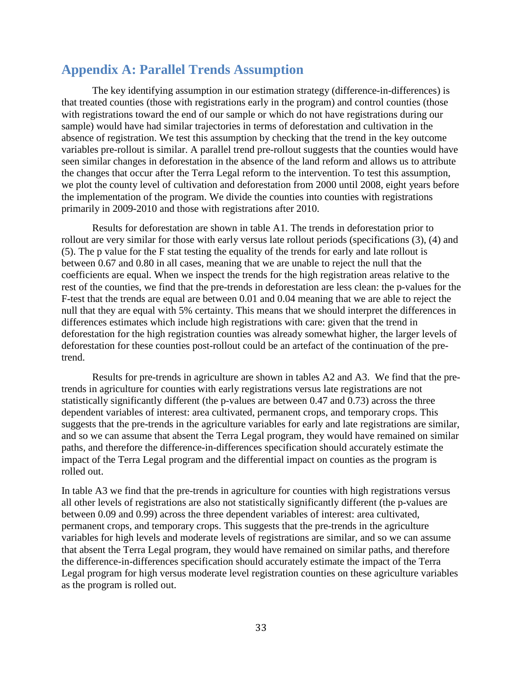### **Appendix A: Parallel Trends Assumption**

The key identifying assumption in our estimation strategy (difference-in-differences) is that treated counties (those with registrations early in the program) and control counties (those with registrations toward the end of our sample or which do not have registrations during our sample) would have had similar trajectories in terms of deforestation and cultivation in the absence of registration. We test this assumption by checking that the trend in the key outcome variables pre-rollout is similar. A parallel trend pre-rollout suggests that the counties would have seen similar changes in deforestation in the absence of the land reform and allows us to attribute the changes that occur after the Terra Legal reform to the intervention. To test this assumption, we plot the county level of cultivation and deforestation from 2000 until 2008, eight years before the implementation of the program. We divide the counties into counties with registrations primarily in 2009-2010 and those with registrations after 2010.

Results for deforestation are shown in table A1. The trends in deforestation prior to rollout are very similar for those with early versus late rollout periods (specifications (3), (4) and (5). The p value for the F stat testing the equality of the trends for early and late rollout is between 0.67 and 0.80 in all cases, meaning that we are unable to reject the null that the coefficients are equal. When we inspect the trends for the high registration areas relative to the rest of the counties, we find that the pre-trends in deforestation are less clean: the p-values for the F-test that the trends are equal are between 0.01 and 0.04 meaning that we are able to reject the null that they are equal with 5% certainty. This means that we should interpret the differences in differences estimates which include high registrations with care: given that the trend in deforestation for the high registration counties was already somewhat higher, the larger levels of deforestation for these counties post-rollout could be an artefact of the continuation of the pretrend.

Results for pre-trends in agriculture are shown in tables A2 and A3. We find that the pretrends in agriculture for counties with early registrations versus late registrations are not statistically significantly different (the p-values are between 0.47 and 0.73) across the three dependent variables of interest: area cultivated, permanent crops, and temporary crops. This suggests that the pre-trends in the agriculture variables for early and late registrations are similar, and so we can assume that absent the Terra Legal program, they would have remained on similar paths, and therefore the difference-in-differences specification should accurately estimate the impact of the Terra Legal program and the differential impact on counties as the program is rolled out.

In table A3 we find that the pre-trends in agriculture for counties with high registrations versus all other levels of registrations are also not statistically significantly different (the p-values are between 0.09 and 0.99) across the three dependent variables of interest: area cultivated, permanent crops, and temporary crops. This suggests that the pre-trends in the agriculture variables for high levels and moderate levels of registrations are similar, and so we can assume that absent the Terra Legal program, they would have remained on similar paths, and therefore the difference-in-differences specification should accurately estimate the impact of the Terra Legal program for high versus moderate level registration counties on these agriculture variables as the program is rolled out.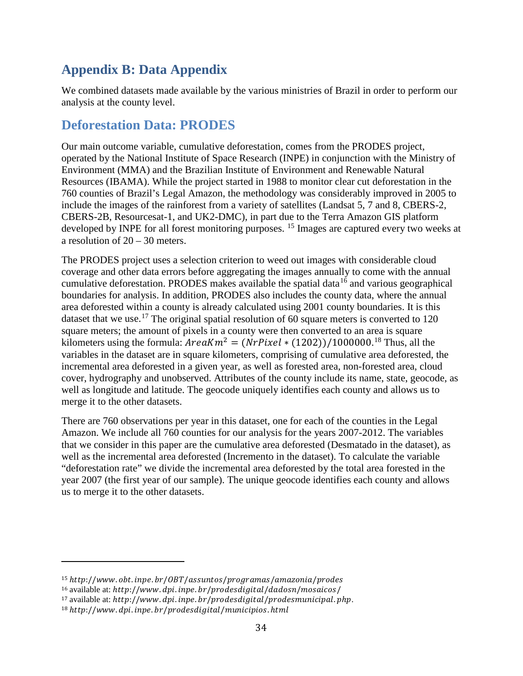# **Appendix B: Data Appendix**

We combined datasets made available by the various ministries of Brazil in order to perform our analysis at the county level.

# **Deforestation Data: PRODES**

Our main outcome variable, cumulative deforestation, comes from the PRODES project, operated by the National Institute of Space Research (INPE) in conjunction with the Ministry of Environment (MMA) and the Brazilian Institute of Environment and Renewable Natural Resources (IBAMA). While the project started in 1988 to monitor clear cut deforestation in the 760 counties of Brazil's Legal Amazon, the methodology was considerably improved in 2005 to include the images of the rainforest from a variety of satellites (Landsat 5, 7 and 8, CBERS-2, CBERS-2B, Resourcesat-1, and UK2-DMC), in part due to the Terra Amazon GIS platform developed by INPE for all forest monitoring purposes. <sup>[15](#page-33-0)</sup> Images are captured every two weeks at a resolution of 20 – 30 meters.

The PRODES project uses a selection criterion to weed out images with considerable cloud coverage and other data errors before aggregating the images annually to come with the annual cumulative deforestation. PRODES makes available the spatial data<sup>[16](#page-33-1)</sup> and various geographical boundaries for analysis. In addition, PRODES also includes the county data, where the annual area deforested within a county is already calculated using 2001 county boundaries. It is this dataset that we use.<sup>[17](#page-33-2)</sup> The original spatial resolution of 60 square meters is converted to 120 square meters; the amount of pixels in a county were then converted to an area is square kilometers using the formula:  $AreaKm^2 = (NrPixel * (1202))/1000000.^{18}$  $AreaKm^2 = (NrPixel * (1202))/1000000.^{18}$  $AreaKm^2 = (NrPixel * (1202))/1000000.^{18}$  Thus, all the variables in the dataset are in square kilometers, comprising of cumulative area deforested, the incremental area deforested in a given year, as well as forested area, non-forested area, cloud cover, hydrography and unobserved. Attributes of the county include its name, state, geocode, as well as longitude and latitude. The geocode uniquely identifies each county and allows us to merge it to the other datasets.

There are 760 observations per year in this dataset, one for each of the counties in the Legal Amazon. We include all 760 counties for our analysis for the years 2007-2012. The variables that we consider in this paper are the cumulative area deforested (Desmatado in the dataset), as well as the incremental area deforested (Incremento in the dataset). To calculate the variable "deforestation rate" we divide the incremental area deforested by the total area forested in the year 2007 (the first year of our sample). The unique geocode identifies each county and allows us to merge it to the other datasets.

i<br>I

<span id="page-33-0"></span> $15$  http://www.obt.inpe.br/0BT/assuntos/programas/amazonia/prodes

<span id="page-33-1"></span> $16$  available at: http://www.dpi.inpe.br/prodesdigital/dadosn/mosaicos/

<span id="page-33-2"></span><sup>17</sup> available at: http://www.dpi.inpe.br/prodesdigital/prodesmunicipal.php.

<span id="page-33-3"></span> $18$  http://www.dpi.inpe.br/prodesdigital/municipios.html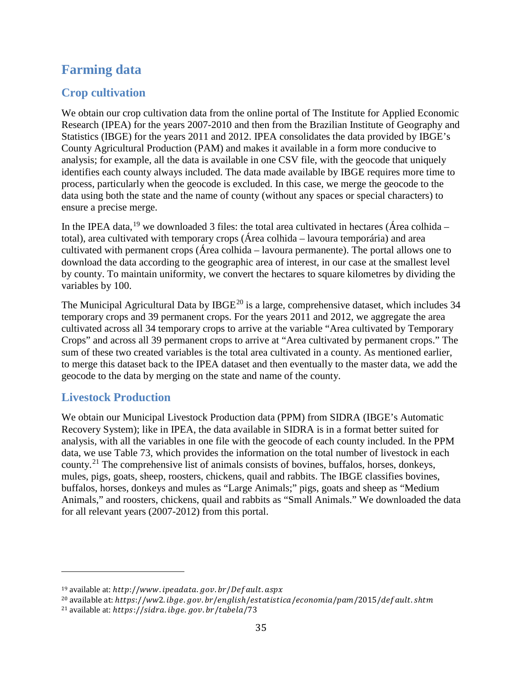# **Farming data**

### **Crop cultivation**

We obtain our crop cultivation data from the online portal of The Institute for Applied Economic Research (IPEA) for the years 2007-2010 and then from the Brazilian Institute of Geography and Statistics (IBGE) for the years 2011 and 2012. IPEA consolidates the data provided by IBGE's County Agricultural Production (PAM) and makes it available in a form more conducive to analysis; for example, all the data is available in one CSV file, with the geocode that uniquely identifies each county always included. The data made available by IBGE requires more time to process, particularly when the geocode is excluded. In this case, we merge the geocode to the data using both the state and the name of county (without any spaces or special characters) to ensure a precise merge.

In the IPEA data, <sup>[19](#page-34-0)</sup> we downloaded 3 files: the total area cultivated in hectares (Área colhida – total), area cultivated with temporary crops (Área colhida – lavoura temporária) and area cultivated with permanent crops (Área colhida – lavoura permanente). The portal allows one to download the data according to the geographic area of interest, in our case at the smallest level by county. To maintain uniformity, we convert the hectares to square kilometres by dividing the variables by 100.

The Municipal Agricultural Data by IBGE<sup>[20](#page-34-1)</sup> is a large, comprehensive dataset, which includes 34 temporary crops and 39 permanent crops. For the years 2011 and 2012, we aggregate the area cultivated across all 34 temporary crops to arrive at the variable "Area cultivated by Temporary Crops" and across all 39 permanent crops to arrive at "Area cultivated by permanent crops." The sum of these two created variables is the total area cultivated in a county. As mentioned earlier, to merge this dataset back to the IPEA dataset and then eventually to the master data, we add the geocode to the data by merging on the state and name of the county.

### **Livestock Production**

i<br>I

We obtain our Municipal Livestock Production data (PPM) from SIDRA (IBGE's Automatic Recovery System); like in IPEA, the data available in SIDRA is in a format better suited for analysis, with all the variables in one file with the geocode of each county included. In the PPM data, we use Table 73, which provides the information on the total number of livestock in each county.<sup>[21](#page-34-2)</sup> The comprehensive list of animals consists of bovines, buffalos, horses, donkeys, mules, pigs, goats, sheep, roosters, chickens, quail and rabbits. The IBGE classifies bovines, buffalos, horses, donkeys and mules as "Large Animals;" pigs, goats and sheep as "Medium Animals," and roosters, chickens, quail and rabbits as "Small Animals." We downloaded the data for all relevant years (2007-2012) from this portal.

<span id="page-34-0"></span> $19$  available at: http://www.ipeadata.gov.br/Default.aspx

<span id="page-34-1"></span><sup>&</sup>lt;sup>20</sup> available at: https://ww2.ibge.gov.br/english/estatistica/economia/pam/2015/def ault.shtm

<span id="page-34-2"></span> $^{21}$  available at: https://sidra.ibge.gov.br/tabela/73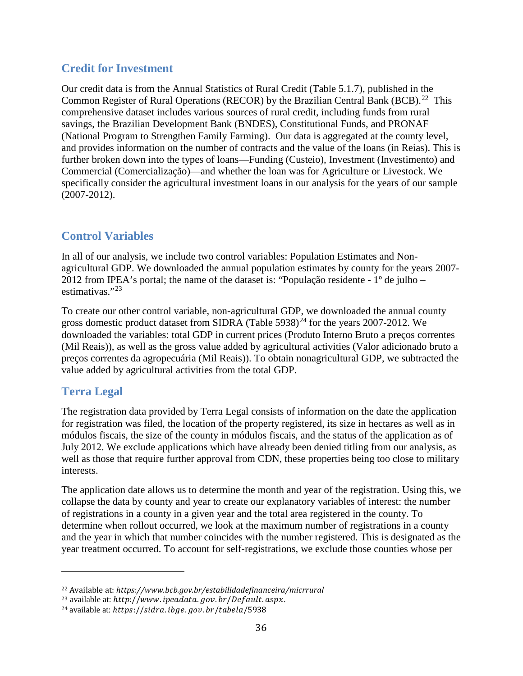### **Credit for Investment**

Our credit data is from the Annual Statistics of Rural Credit (Table 5.1.7), published in the Common Register of Rural Operations (RECOR) by the Brazilian Central Bank (BCB).<sup>[22](#page-35-0)</sup> This comprehensive dataset includes various sources of rural credit, including funds from rural savings, the Brazilian Development Bank (BNDES), Constitutional Funds, and PRONAF (National Program to Strengthen Family Farming). Our data is aggregated at the county level, and provides information on the number of contracts and the value of the loans (in Reias). This is further broken down into the types of loans—Funding (Custeio), Investment (Investimento) and Commercial (Comercialização)—and whether the loan was for Agriculture or Livestock. We specifically consider the agricultural investment loans in our analysis for the years of our sample (2007-2012).

# **Control Variables**

In all of our analysis, we include two control variables: Population Estimates and Nonagricultural GDP. We downloaded the annual population estimates by county for the years 2007- 2012 from IPEA's portal; the name of the dataset is: "População residente - 1º de julho – estimativas."[23](#page-35-1)

To create our other control variable, non-agricultural GDP, we downloaded the annual county gross domestic product dataset from SIDRA (Table 5938)<sup>[24](#page-35-2)</sup> for the years 2007-2012. We downloaded the variables: total GDP in current prices (Produto Interno Bruto a preços correntes (Mil Reais)), as well as the gross value added by agricultural activities (Valor adicionado bruto a preços correntes da agropecuária (Mil Reais)). To obtain nonagricultural GDP, we subtracted the value added by agricultural activities from the total GDP.

## **Terra Legal**

i<br>I

The registration data provided by Terra Legal consists of information on the date the application for registration was filed, the location of the property registered, its size in hectares as well as in módulos fiscais, the size of the county in módulos fiscais, and the status of the application as of July 2012. We exclude applications which have already been denied titling from our analysis, as well as those that require further approval from CDN, these properties being too close to military interests.

The application date allows us to determine the month and year of the registration. Using this, we collapse the data by county and year to create our explanatory variables of interest: the number of registrations in a county in a given year and the total area registered in the county. To determine when rollout occurred, we look at the maximum number of registrations in a county and the year in which that number coincides with the number registered. This is designated as the year treatment occurred. To account for self-registrations, we exclude those counties whose per

<span id="page-35-0"></span><sup>22</sup> Available at: *https://www.bcb.gov.br/estabilidadefinanceira/micrrural*

<span id="page-35-1"></span> $23$  available at: http://www.ipeadata.gov.br/Default.aspx.

<span id="page-35-2"></span> $^{24}$  available at: https://sidra.ibge.gov.br/tabela/5938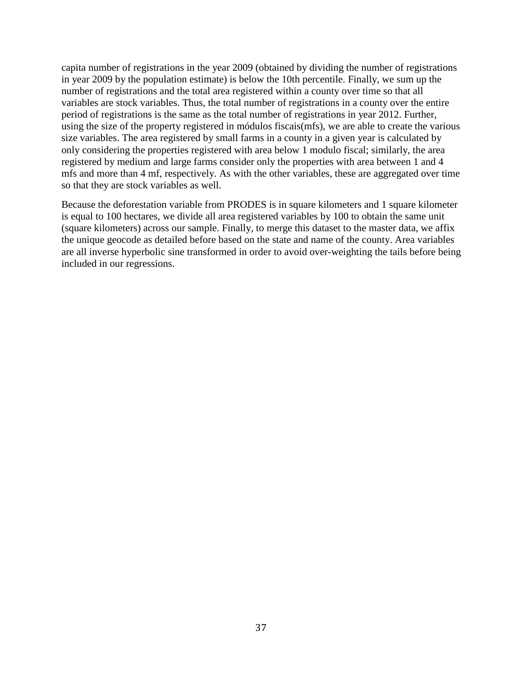capita number of registrations in the year 2009 (obtained by dividing the number of registrations in year 2009 by the population estimate) is below the 10th percentile. Finally, we sum up the number of registrations and the total area registered within a county over time so that all variables are stock variables. Thus, the total number of registrations in a county over the entire period of registrations is the same as the total number of registrations in year 2012. Further, using the size of the property registered in módulos fiscais(mfs), we are able to create the various size variables. The area registered by small farms in a county in a given year is calculated by only considering the properties registered with area below 1 modulo fiscal; similarly, the area registered by medium and large farms consider only the properties with area between 1 and 4 mfs and more than 4 mf, respectively. As with the other variables, these are aggregated over time so that they are stock variables as well.

Because the deforestation variable from PRODES is in square kilometers and 1 square kilometer is equal to 100 hectares, we divide all area registered variables by 100 to obtain the same unit (square kilometers) across our sample. Finally, to merge this dataset to the master data, we affix the unique geocode as detailed before based on the state and name of the county. Area variables are all inverse hyperbolic sine transformed in order to avoid over-weighting the tails before being included in our regressions.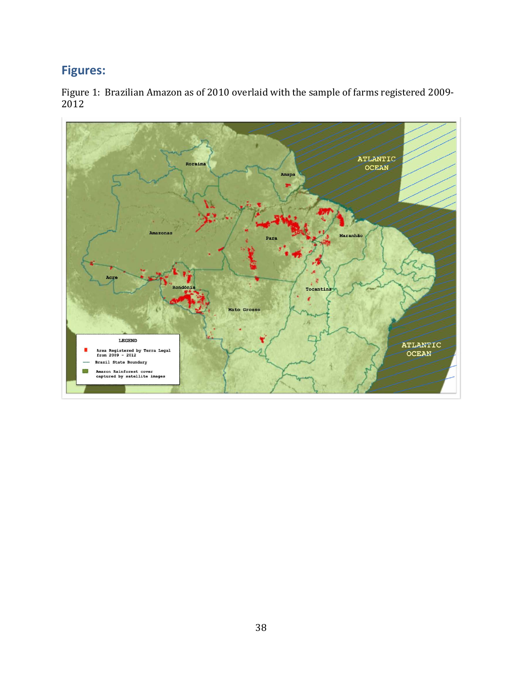# **Figures:**

Figure 1: Brazilian Amazon as of 2010 overlaid with the sample of farms registered 2009- 2012

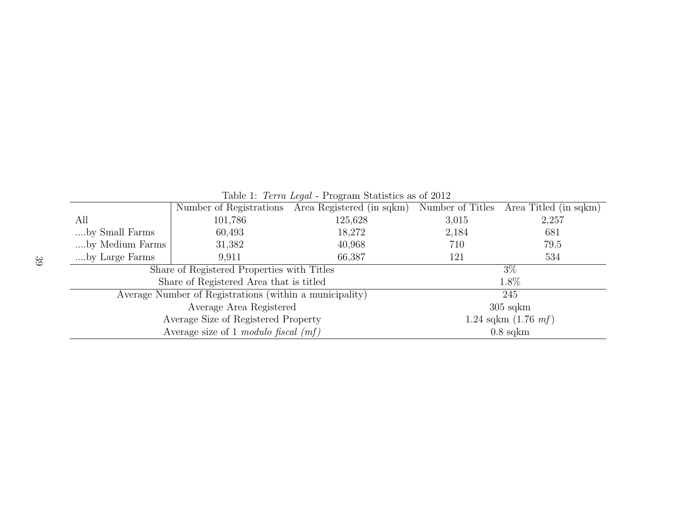|                 |                                                         | $\frac{1}{2}$ $\frac{1}{2}$ $\frac{1}{2}$ $\frac{1}{2}$ $\frac{1}{2}$ $\frac{1}{2}$ $\frac{1}{2}$ $\frac{1}{2}$ $\frac{1}{2}$ $\frac{1}{2}$ $\frac{1}{2}$ $\frac{1}{2}$ $\frac{1}{2}$ $\frac{1}{2}$ $\frac{1}{2}$ $\frac{1}{2}$ $\frac{1}{2}$ $\frac{1}{2}$ $\frac{1}{2}$ $\frac{1}{2}$ $\frac{1}{2}$ $\frac{1}{2}$<br>Number of Registrations Area Registered (in sqkm) |       | Number of Titles Area Titled (in sqkm) |  |  |
|-----------------|---------------------------------------------------------|--------------------------------------------------------------------------------------------------------------------------------------------------------------------------------------------------------------------------------------------------------------------------------------------------------------------------------------------------------------------------|-------|----------------------------------------|--|--|
| All             | 101,786                                                 | 125,628                                                                                                                                                                                                                                                                                                                                                                  | 3,015 | 2,257                                  |  |  |
| by Small Farms  | 60,493                                                  | 18,272                                                                                                                                                                                                                                                                                                                                                                   | 2,184 | 681                                    |  |  |
| by Medium Farms | 31,382                                                  | 40,968                                                                                                                                                                                                                                                                                                                                                                   | 710   | 79.5                                   |  |  |
| by Large Farms  | 9,911                                                   | 66,387                                                                                                                                                                                                                                                                                                                                                                   | 121   | 534                                    |  |  |
|                 | Share of Registered Properties with Titles              |                                                                                                                                                                                                                                                                                                                                                                          | $3\%$ |                                        |  |  |
|                 | Share of Registered Area that is titled                 |                                                                                                                                                                                                                                                                                                                                                                          |       | 1.8%                                   |  |  |
|                 | Average Number of Registrations (within a municipality) |                                                                                                                                                                                                                                                                                                                                                                          | 245   |                                        |  |  |
|                 | Average Area Registered                                 | $305$ sqkm                                                                                                                                                                                                                                                                                                                                                               |       |                                        |  |  |
|                 | Average Size of Registered Property                     |                                                                                                                                                                                                                                                                                                                                                                          |       | 1.24 sqkm $(1.76 \; m)$                |  |  |
|                 | Average size of 1 modulo fiscal $(mf)$                  |                                                                                                                                                                                                                                                                                                                                                                          |       | $0.8$ sqkm                             |  |  |

Table 1: Terra Legal - Program Statistics as of 2012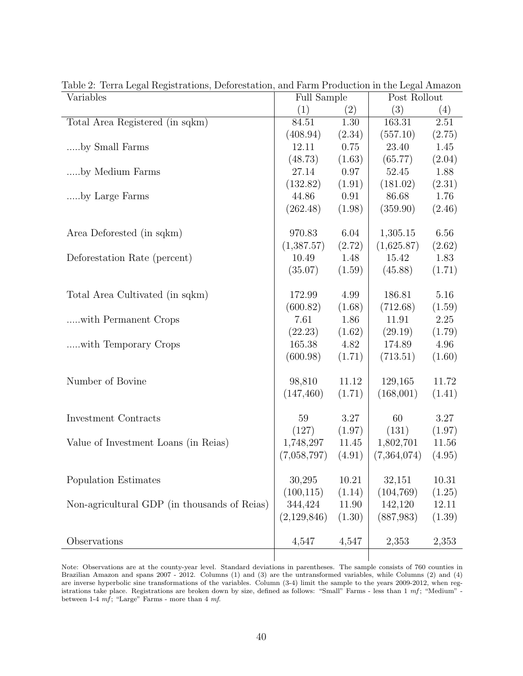| Variables                                    | <b>Full Sample</b> |        | Post Rollout |        |
|----------------------------------------------|--------------------|--------|--------------|--------|
|                                              | (1)                | (2)    | (3)          | (4)    |
| Total Area Registered (in sqkm)              | 84.51              | 1.30   | 163.31       | 2.51   |
|                                              | (408.94)           | (2.34) | (557.10)     | (2.75) |
| by Small Farms                               | 12.11              | 0.75   | 23.40        | 1.45   |
|                                              | (48.73)            | (1.63) | (65.77)      | (2.04) |
| by Medium Farms                              | 27.14              | 0.97   | 52.45        | 1.88   |
|                                              | (132.82)           | (1.91) | (181.02)     | (2.31) |
| by Large Farms                               | 44.86              | 0.91   | 86.68        | 1.76   |
|                                              | (262.48)           | (1.98) | (359.90)     | (2.46) |
|                                              |                    |        |              |        |
| Area Deforested (in sqkm)                    | 970.83             | 6.04   | 1,305.15     | 6.56   |
|                                              | (1,387.57)         | (2.72) | (1,625.87)   | (2.62) |
| Deforestation Rate (percent)                 | 10.49              | 1.48   | 15.42        | 1.83   |
|                                              | (35.07)            | (1.59) | (45.88)      | (1.71) |
|                                              |                    |        |              |        |
| Total Area Cultivated (in sqkm)              | 172.99             | 4.99   | 186.81       | 5.16   |
|                                              | (600.82)           | (1.68) | (712.68)     | (1.59) |
| with Permanent Crops                         | 7.61               | 1.86   | 11.91        | 2.25   |
|                                              | (22.23)            | (1.62) | (29.19)      | (1.79) |
| with Temporary Crops                         | 165.38             | 4.82   | 174.89       | 4.96   |
|                                              | (600.98)           | (1.71) | (713.51)     | (1.60) |
|                                              |                    |        |              |        |
| Number of Bovine                             | 98,810             | 11.12  | 129,165      | 11.72  |
|                                              | (147, 460)         | (1.71) | (168,001)    | (1.41) |
|                                              |                    |        |              |        |
| Investment Contracts                         | 59                 | 3.27   | 60           | 3.27   |
|                                              | (127)              | (1.97) | (131)        | (1.97) |
| Value of Investment Loans (in Reias)         | 1,748,297          | 11.45  | 1,802,701    | 11.56  |
|                                              | (7,058,797)        | (4.91) | (7,364,074)  | (4.95) |
|                                              |                    |        |              |        |
| Population Estimates                         | 30,295             | 10.21  | 32,151       | 10.31  |
|                                              | (100, 115)         | (1.14) | (104, 769)   | (1.25) |
| Non-agricultural GDP (in thousands of Reias) | 344,424            | 11.90  | 142,120      | 12.11  |
|                                              | (2,129,846)        | (1.30) | (887,983)    | (1.39) |
|                                              |                    |        |              |        |
| Observations                                 | 4,547              | 4,547  | 2,353        | 2,353  |
|                                              |                    |        |              |        |

Table 2: Terra Legal Registrations, Deforestation, and Farm Production in the Legal Amazon

Note: Observations are at the county-year level. Standard deviations in parentheses. The sample consists of 760 counties in Brazilian Amazon and spans 2007 - 2012. Columns (1) and (3) are the untransformed variables, while Columns (2) and (4) are inverse hyperbolic sine transformations of the variables. Column (3-4) limit the sample to the years 2009-2012, when registrations take place. Registrations are broken down by size, defined as follows: "Small" Farms - less than 1 mf; "Medium" between 1-4  $mf$ ; "Large" Farms - more than 4  $mf$ .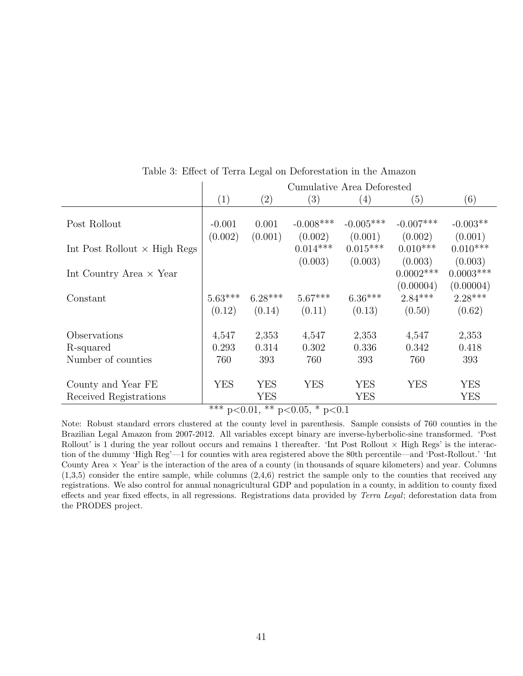|                                     |            | Cumulative Area Deforested |                                 |             |              |             |  |  |
|-------------------------------------|------------|----------------------------|---------------------------------|-------------|--------------|-------------|--|--|
|                                     | (1)        | $\left( 2\right)$          | (3)                             | (4)         | (5)          | (6)         |  |  |
|                                     |            |                            |                                 |             |              |             |  |  |
| Post Rollout                        | $-0.001$   | 0.001                      | $-0.008***$                     | $-0.005***$ | $-0.007***$  | $-0.003**$  |  |  |
|                                     | (0.002)    | (0.001)                    | (0.002)                         | (0.001)     | (0.002)      | (0.001)     |  |  |
| Int Post Rollout $\times$ High Regs |            |                            | $0.014***$                      | $0.015***$  | $0.010***$   | $0.010***$  |  |  |
|                                     |            |                            | (0.003)                         | (0.003)     | (0.003)      | (0.003)     |  |  |
| Int Country Area $\times$ Year      |            |                            |                                 |             | $0.0002$ *** | $0.0003***$ |  |  |
|                                     |            |                            |                                 |             | (0.00004)    | (0.00004)   |  |  |
| Constant                            | $5.63***$  | $6.28***$                  | $5.67***$                       | $6.36***$   | $2.84***$    | $2.28***$   |  |  |
|                                     | (0.12)     | (0.14)                     | (0.11)                          | (0.13)      | (0.50)       | (0.62)      |  |  |
|                                     |            |                            |                                 |             |              |             |  |  |
| Observations                        | 4,547      | 2,353                      | 4,547                           | 2,353       | 4,547        | 2,353       |  |  |
| R-squared                           | 0.293      | 0.314                      | 0.302                           | 0.336       | 0.342        | 0.418       |  |  |
| Number of counties                  | 760        | 393                        | 760                             | 393         | 760          | 393         |  |  |
|                                     |            |                            |                                 |             |              |             |  |  |
| County and Year FE                  | <b>YES</b> | YES                        | <b>YES</b>                      | <b>YES</b>  | <b>YES</b>   | <b>YES</b>  |  |  |
| Received Registrations              |            | <b>YES</b>                 |                                 | <b>YES</b>  |              | <b>YES</b>  |  |  |
|                                     |            |                            | $*** n0$ 01 $** n0$ 05 $* n0$ 1 |             |              |             |  |  |

Table 3: Effect of Terra Legal on Deforestation in the Amazon

 $p<0.01$ , \*\*  $p<0.05$ , \*  $p<0.1$ 

Note: Robust standard errors clustered at the county level in parenthesis. Sample consists of 760 counties in the Brazilian Legal Amazon from 2007-2012. All variables except binary are inverse-hyberbolic-sine transformed. 'Post Rollout' is 1 during the year rollout occurs and remains 1 thereafter. 'Int Post Rollout  $\times$  High Regs' is the interaction of the dummy 'High Reg'—1 for counties with area registered above the 80th percentile—and 'Post-Rollout.' 'Int County Area  $\times$  Year' is the interaction of the area of a county (in thousands of square kilometers) and year. Columns  $(1,3,5)$  consider the entire sample, while columns  $(2,4,6)$  restrict the sample only to the counties that received any registrations. We also control for annual nonagricultural GDP and population in a county, in addition to county fixed effects and year fixed effects, in all regressions. Registrations data provided by Terra Legal; deforestation data from the PRODES project.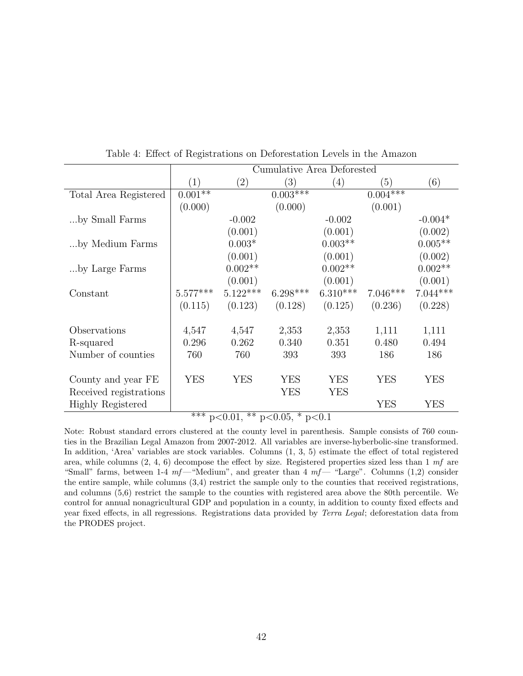|                          |            |                         |                        | Cumulative Area Deforested |            |            |
|--------------------------|------------|-------------------------|------------------------|----------------------------|------------|------------|
|                          | (1)        | $\left( 2\right)$       | (3)                    | (4)                        | (5)        | (6)        |
| Total Area Registered    | $0.001**$  |                         | $0.003***$             |                            | $0.004***$ |            |
|                          | (0.000)    |                         | (0.000)                |                            | (0.001)    |            |
| by Small Farms           |            | $-0.002$                |                        | $-0.002$                   |            | $-0.004*$  |
|                          |            | (0.001)                 |                        | (0.001)                    |            | (0.002)    |
| by Medium Farms          |            | $0.003*$                |                        | $0.003**$                  |            | $0.005**$  |
|                          |            | (0.001)                 |                        | (0.001)                    |            | (0.002)    |
| by Large Farms           |            | $0.002**$               |                        | $0.002**$                  |            | $0.002**$  |
|                          |            | (0.001)                 |                        | (0.001)                    |            | (0.001)    |
| Constant                 | $5.577***$ | $5.122***$              | $6.298***$             | $6.310***$                 | $7.046***$ | $7.044***$ |
|                          | (0.115)    | (0.123)                 | (0.128)                | (0.125)                    | (0.236)    | (0.228)    |
|                          |            |                         |                        |                            |            |            |
| Observations             | 4,547      | 4,547                   | 2,353                  | 2,353                      | 1,111      | 1,111      |
| R-squared                | 0.296      | 0.262                   | 0.340                  | 0.351                      | 0.480      | 0.494      |
| Number of counties       | 760        | 760                     | 393                    | 393                        | 186        | 186        |
|                          |            |                         |                        |                            |            |            |
| County and year FE       | YES        | YES                     | <b>YES</b>             | <b>YES</b>                 | <b>YES</b> | <b>YES</b> |
| Received registrations   |            |                         | YES                    | YES                        |            |            |
| <b>Highly Registered</b> |            |                         |                        |                            | YES        | YES        |
|                          | $***$      | $**$<br>$\sim$ $\cap$ 1 | $\sim$ $\cap$ $\sim$ * | $\sqrt{2}$ 1               |            |            |

Table 4: Effect of Registrations on Deforestation Levels in the Amazon

 $p<0.01$ , \*\*  $p<0.05$ , \*  $p<0.1$ 

Note: Robust standard errors clustered at the county level in parenthesis. Sample consists of 760 counties in the Brazilian Legal Amazon from 2007-2012. All variables are inverse-hyberbolic-sine transformed. In addition, 'Area' variables are stock variables. Columns (1, 3, 5) estimate the effect of total registered area, while columns  $(2, 4, 6)$  decompose the effect by size. Registered properties sized less than 1 mf are "Small" farms, between 1-4  $mf$ —"Medium", and greater than 4  $mf$ — "Large". Columns (1,2) consider the entire sample, while columns (3,4) restrict the sample only to the counties that received registrations, and columns (5,6) restrict the sample to the counties with registered area above the 80th percentile. We control for annual nonagricultural GDP and population in a county, in addition to county fixed effects and year fixed effects, in all regressions. Registrations data provided by Terra Legal; deforestation data from the PRODES project.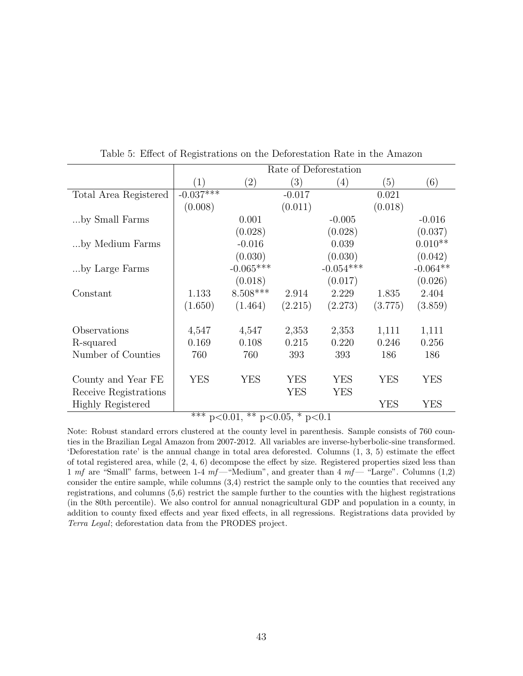|            | Rate of Deforestation |                                  |                       |               |            |  |  |
|------------|-----------------------|----------------------------------|-----------------------|---------------|------------|--|--|
| (1)        | (2)                   | (3)                              | (4)                   | (5)           | (6)        |  |  |
|            |                       | $-0.017$                         |                       | 0.021         |            |  |  |
| (0.008)    |                       | (0.011)                          |                       | (0.018)       |            |  |  |
|            | 0.001                 |                                  | $-0.005$              |               | $-0.016$   |  |  |
|            | (0.028)               |                                  | (0.028)               |               | (0.037)    |  |  |
|            | $-0.016$              |                                  | 0.039                 |               | $0.010**$  |  |  |
|            | (0.030)               |                                  | (0.030)               |               | (0.042)    |  |  |
|            | $-0.065***$           |                                  | $-0.054***$           |               | $-0.064**$ |  |  |
|            | (0.018)               |                                  | (0.017)               |               | (0.026)    |  |  |
| 1.133      | $8.508***$            | 2.914                            | 2.229                 | 1.835         | 2.404      |  |  |
| (1.650)    | (1.464)               | (2.215)                          | (2.273)               | (3.775)       | (3.859)    |  |  |
|            |                       |                                  |                       |               |            |  |  |
| 4,547      | 4,547                 | 2,353                            | 2,353                 | 1,111         | 1,111      |  |  |
| 0.169      | 0.108                 | 0.215                            | 0.220                 | 0.246         | 0.256      |  |  |
| 760        | 760                   | 393                              | 393                   | 186           | 186        |  |  |
|            |                       |                                  |                       |               |            |  |  |
| <b>YES</b> | <b>YES</b>            | <b>YES</b>                       | <b>YES</b>            | <b>YES</b>    | YES        |  |  |
|            |                       | <b>YES</b>                       | YES                   |               |            |  |  |
|            |                       |                                  |                       | <b>YES</b>    | YES        |  |  |
|            | $-0.037***$<br>ふふふ    | ット<br>$\Omega$ $\Omega$ $\Delta$ | $0.05 \times 10^{-1}$ | $\sim$ $\sim$ |            |  |  |

Table 5: Effect of Registrations on the Deforestation Rate in the Amazon

\*\*\* p<0.01, \*\* p<0.05, \* p<0.1

Note: Robust standard errors clustered at the county level in parenthesis. Sample consists of 760 counties in the Brazilian Legal Amazon from 2007-2012. All variables are inverse-hyberbolic-sine transformed. 'Deforestation rate' is the annual change in total area deforested. Columns (1, 3, 5) estimate the effect of total registered area, while (2, 4, 6) decompose the effect by size. Registered properties sized less than 1 mf are "Small" farms, between 1-4 mf— "Medium", and greater than 4 mf— "Large". Columns  $(1,2)$ consider the entire sample, while columns (3,4) restrict the sample only to the counties that received any registrations, and columns (5,6) restrict the sample further to the counties with the highest registrations (in the 80th percentile). We also control for annual nonagricultural GDP and population in a county, in addition to county fixed effects and year fixed effects, in all regressions. Registrations data provided by Terra Legal; deforestation data from the PRODES project.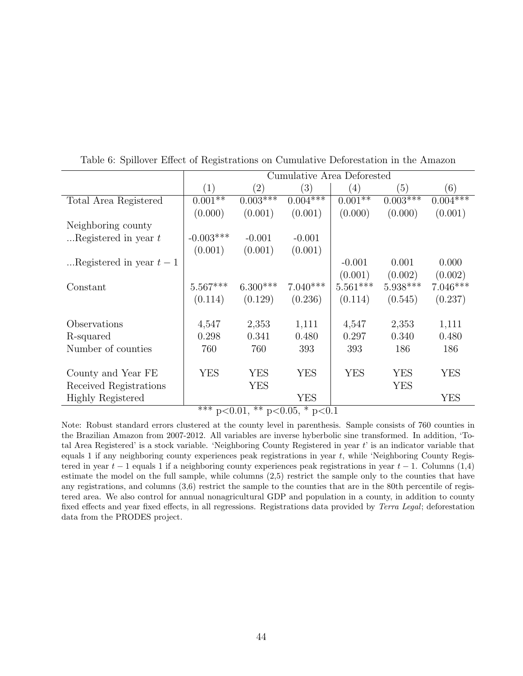|                          |             |                   | Cumulative Area Deforested  |                   |            |            |
|--------------------------|-------------|-------------------|-----------------------------|-------------------|------------|------------|
|                          | (1)         | $\left( 2\right)$ | $\left(3\right)$            | $\left( 4\right)$ | (5)        | (6)        |
| Total Area Registered    | $0.001**$   | $0.003***$        | $0.004***$                  | $0.001**$         | $0.003***$ | $0.004***$ |
|                          | (0.000)     | (0.001)           | (0.001)                     | (0.000)           | (0.000)    | (0.001)    |
| Neighboring county       |             |                   |                             |                   |            |            |
| Registered in year $t$   | $-0.003***$ | $-0.001$          | $-0.001$                    |                   |            |            |
|                          | (0.001)     | (0.001)           | (0.001)                     |                   |            |            |
| Registered in year $t-1$ |             |                   |                             | $-0.001$          | 0.001      | 0.000      |
|                          |             |                   |                             | (0.001)           | (0.002)    | (0.002)    |
| Constant                 | $5.567***$  | $6.300***$        | $7.040***$                  | $5.561***$        | $5.938***$ | $7.046***$ |
|                          | (0.114)     | (0.129)           | (0.236)                     | (0.114)           | (0.545)    | (0.237)    |
|                          |             |                   |                             |                   |            |            |
| Observations             | 4,547       | 2,353             | 1,111                       | 4,547             | 2,353      | 1,111      |
| R-squared                | 0.298       | 0.341             | 0.480                       | 0.297             | 0.340      | 0.480      |
| Number of counties       | 760         | 760               | 393                         | 393               | 186        | 186        |
|                          |             |                   |                             |                   |            |            |
| County and Year FE       | YES         | <b>YES</b>        | YES                         | <b>YES</b>        | <b>YES</b> | YES        |
| Received Registrations   |             | YES               |                             |                   | <b>YES</b> |            |
| <b>Highly Registered</b> | ملحات ملح   | مالہ مالہ         | YES<br>$\sim$ $\sim$ $\sim$ |                   |            | YES        |

Table 6: Spillover Effect of Registrations on Cumulative Deforestation in the Amazon

\*\*\* p<0.01, \*\* p<0.05, \* p<0.1

Note: Robust standard errors clustered at the county level in parenthesis. Sample consists of 760 counties in the Brazilian Amazon from 2007-2012. All variables are inverse hyberbolic sine transformed. In addition, 'Total Area Registered' is a stock variable. 'Neighboring County Registered in year  $t'$  is an indicator variable that equals 1 if any neighboring county experiences peak registrations in year t, while 'Neighboring County Registered in year  $t - 1$  equals 1 if a neighboring county experiences peak registrations in year  $t - 1$ . Columns (1,4) estimate the model on the full sample, while columns (2,5) restrict the sample only to the counties that have any registrations, and columns (3,6) restrict the sample to the counties that are in the 80th percentile of registered area. We also control for annual nonagricultural GDP and population in a county, in addition to county fixed effects and year fixed effects, in all regressions. Registrations data provided by Terra Legal; deforestation data from the PRODES project.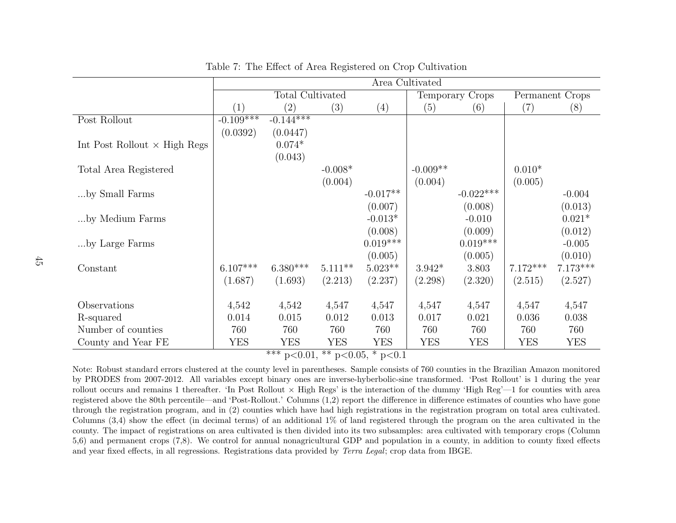|                                     |             |                                                              |            |            | Area Cultivated |                 |            |                 |
|-------------------------------------|-------------|--------------------------------------------------------------|------------|------------|-----------------|-----------------|------------|-----------------|
|                                     |             | Total Cultivated                                             |            |            |                 | Temporary Crops |            | Permanent Crops |
|                                     | (1)         | (2)                                                          | (3)        | (4)        | (5)             | (6)             | (7)        | (8)             |
| Post Rollout                        | $-0.109***$ | $-0.144***$                                                  |            |            |                 |                 |            |                 |
|                                     | (0.0392)    | (0.0447)                                                     |            |            |                 |                 |            |                 |
| Int Post Rollout $\times$ High Regs |             | $0.074*$                                                     |            |            |                 |                 |            |                 |
|                                     |             | (0.043)                                                      |            |            |                 |                 |            |                 |
| Total Area Registered               |             |                                                              | $-0.008*$  |            | $-0.009**$      |                 | $0.010*$   |                 |
|                                     |             |                                                              | (0.004)    |            | (0.004)         |                 | (0.005)    |                 |
| by Small Farms                      |             |                                                              |            | $-0.017**$ |                 | $-0.022***$     |            | $-0.004$        |
|                                     |             |                                                              |            | (0.007)    |                 | (0.008)         |            | (0.013)         |
| by Medium Farms                     |             |                                                              |            | $-0.013*$  |                 | $-0.010$        |            | $0.021*$        |
|                                     |             |                                                              |            | (0.008)    |                 | (0.009)         |            | (0.012)         |
| by Large Farms                      |             |                                                              |            | $0.019***$ |                 | $0.019***$      |            | $-0.005$        |
|                                     |             |                                                              |            | (0.005)    |                 | (0.005)         |            | (0.010)         |
| Constant                            | $6.107***$  | $6.380***$                                                   | $5.111***$ | $5.023**$  | $3.942*$        | 3.803           | $7.172***$ | $7.173***$      |
|                                     | (1.687)     | (1.693)                                                      | (2.213)    | (2.237)    | (2.298)         | (2.320)         | (2.515)    | (2.527)         |
|                                     |             |                                                              |            |            |                 |                 |            |                 |
| Observations                        | 4,542       | 4,542                                                        | 4,547      | 4,547      | 4,547           | 4,547           | 4,547      | 4,547           |
| R-squared                           | 0.014       | 0.015                                                        | 0.012      | 0.013      | 0.017           | 0.021           | 0.036      | 0.038           |
| Number of counties                  | 760         | 760                                                          | 760        | 760        | 760             | 760             | 760        | 760             |
| County and Year FE                  | <b>YES</b>  | <b>YES</b>                                                   | <b>YES</b> | <b>YES</b> | <b>YES</b>      | YES             | <b>YES</b> | <b>YES</b>      |
|                                     |             | $\overline{*** p <} 0.01, \overline{** p} < 0.05, * p < 0.1$ |            |            |                 |                 |            |                 |

Table 7: The Effect of Area Registered on Crop Cultivation

Note: Robust standard errors clustered at the county level in parentheses. Sample consists of 760 counties in the Brazilian Amazon monitored by PRODES from 2007-2012. All variables except binary ones are inverse-hyberbolic-sine transformed. 'Post Rollout' is 1 during the yearrollout occurs and remains 1 thereafter. 'In Post Rollout  $\times$  High Regs' is the interaction of the dummy 'High Reg'—1 for counties with area registered above the 80th percentile—and 'Post-Rollout.' Columns (1,2) report the difference in difference estimates of counties who have gone through the registration program, and in (2) counties which have had high registrations in the registration program on total area cultivated.Columns (3,4) show the effect (in decimal terms) of an additional 1% of land registered through the program on the area cultivated in the county. The impact of registrations on area cultivated is then divided into its two subsamples: area cultivated with temporary crops (Column 5,6) and permanent crops (7,8). We control for annual nonagricultural GDP and population in <sup>a</sup> county, in addition to county fixed effectsand year fixed effects, in all regressions. Registrations data provided by  $Terra$  Legal; crop data from IBGE.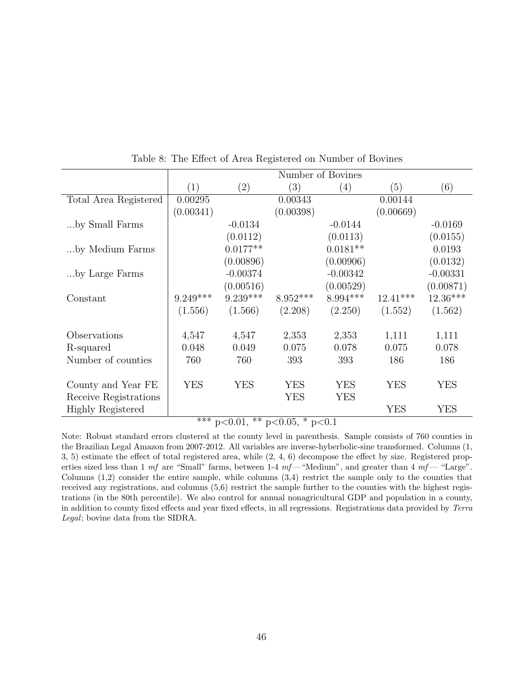|                          |                   |                                     |            | Number of Bovines |            |            |
|--------------------------|-------------------|-------------------------------------|------------|-------------------|------------|------------|
|                          | $\left( 1\right)$ | $\left( 2\right)$                   | (3)        | (4)               | (5)        | (6)        |
| Total Area Registered    | 0.00295           |                                     | 0.00343    |                   | 0.00144    |            |
|                          | (0.00341)         |                                     | (0.00398)  |                   | (0.00669)  |            |
| by Small Farms           |                   | $-0.0134$                           |            | $-0.0144$         |            | $-0.0169$  |
|                          |                   | (0.0112)                            |            | (0.0113)          |            | (0.0155)   |
| by Medium Farms          |                   | $0.0177**$                          |            | $0.0181**$        |            | 0.0193     |
|                          |                   | (0.00896)                           |            | (0.00906)         |            | (0.0132)   |
| by Large Farms           |                   | $-0.00374$                          |            | $-0.00342$        |            | $-0.00331$ |
|                          |                   | (0.00516)                           |            | (0.00529)         |            | (0.00871)  |
| Constant                 | $9.249***$        | $9.239***$                          | $8.952***$ | $8.994***$        | $12.41***$ | $12.36***$ |
|                          | (1.556)           | (1.566)                             | (2.208)    | (2.250)           | (1.552)    | (1.562)    |
| Observations             | 4,547             | 4,547                               | 2,353      | 2,353             | 1,111      | 1,111      |
| R-squared                | 0.048             | 0.049                               | 0.075      | 0.078             | 0.075      | 0.078      |
| Number of counties       | 760               | 760                                 | 393        | 393               | 186        | 186        |
|                          |                   |                                     |            |                   |            |            |
| County and Year FE       | <b>YES</b>        | <b>YES</b>                          | <b>YES</b> | <b>YES</b>        | <b>YES</b> | <b>YES</b> |
| Receive Registrations    |                   |                                     | <b>YES</b> | <b>YES</b>        |            |            |
| <b>Highly Registered</b> |                   |                                     |            |                   | <b>YES</b> | <b>YES</b> |
|                          |                   | $*** - 20.01$ ** $-20.05$ * $-20.1$ |            |                   |            |            |

Table 8: The Effect of Area Registered on Number of Bovines

 $p<0.01$ , \*\*  $p<0.05$ , \*  $p<0.1$ 

Note: Robust standard errors clustered at the county level in parenthesis. Sample consists of 760 counties in the Brazilian Legal Amazon from 2007-2012. All variables are inverse-hyberbolic-sine transformed. Columns (1, 3, 5) estimate the effect of total registered area, while (2, 4, 6) decompose the effect by size. Registered properties sized less than 1 mf are "Small" farms, between 1-4  $mf$ — "Medium", and greater than 4  $mf$ — "Large". Columns  $(1,2)$  consider the entire sample, while columns  $(3,4)$  restrict the sample only to the counties that received any registrations, and columns (5,6) restrict the sample further to the counties with the highest registrations (in the 80th percentile). We also control for annual nonagricultural GDP and population in a county, in addition to county fixed effects and year fixed effects, in all regressions. Registrations data provided by Terra Legal; bovine data from the SIDRA.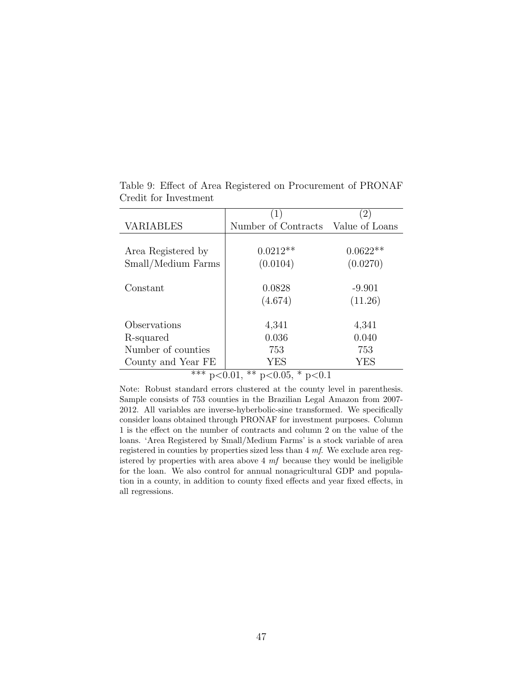|                    | (1)                                                                        |            |
|--------------------|----------------------------------------------------------------------------|------------|
| <b>VARIABLES</b>   | Number of Contracts Value of Loans                                         |            |
|                    |                                                                            |            |
| Area Registered by | $0.0212**$                                                                 | $0.0622**$ |
| Small/Medium Farms | (0.0104)                                                                   | (0.0270)   |
|                    |                                                                            |            |
| Constant           | 0.0828                                                                     | $-9.901$   |
|                    | (4.674)                                                                    | (11.26)    |
|                    |                                                                            |            |
| Observations       | 4,341                                                                      | 4,341      |
| R-squared          | 0.036                                                                      | 0.040      |
| Number of counties | 753                                                                        | 753        |
| County and Year FE | YES                                                                        | <b>YES</b> |
| マイケ                | ひひ<br>J<br>$\bigcap$ $\bigcap$ $\bigcap$<br>$\cap$ $\cap$<br>$\sim$ $\sim$ |            |

Table 9: Effect of Area Registered on Procurement of PRONAF Credit for Investment

\*\*\* p<0.01, \*\* p<0.05, \* p<0.1

Note: Robust standard errors clustered at the county level in parenthesis. Sample consists of 753 counties in the Brazilian Legal Amazon from 2007- 2012. All variables are inverse-hyberbolic-sine transformed. We specifically consider loans obtained through PRONAF for investment purposes. Column 1 is the effect on the number of contracts and column 2 on the value of the loans. 'Area Registered by Small/Medium Farms' is a stock variable of area registered in counties by properties sized less than 4 mf. We exclude area registered by properties with area above  $4 \; mf$  because they would be ineligible for the loan. We also control for annual nonagricultural GDP and population in a county, in addition to county fixed effects and year fixed effects, in all regressions.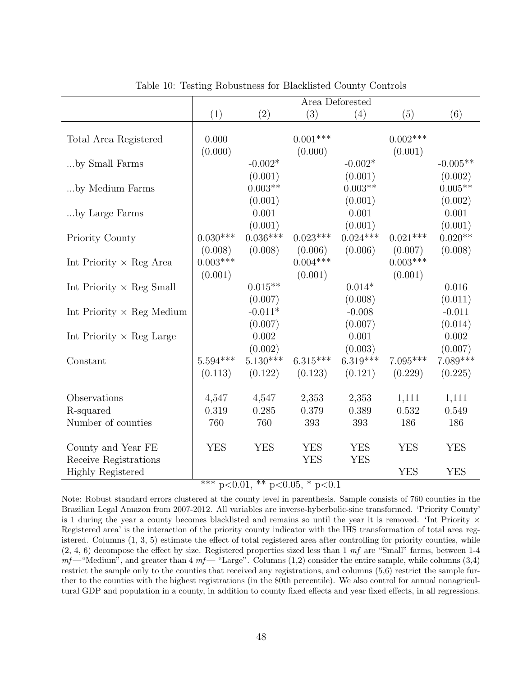|                                             | Area Deforested       |                                 |                          |                                |                       |                                |
|---------------------------------------------|-----------------------|---------------------------------|--------------------------|--------------------------------|-----------------------|--------------------------------|
|                                             | (1)                   | (2)                             | (3)                      | (4)                            | (5)                   | (6)                            |
| Total Area Registered                       | 0.000<br>(0.000)      |                                 | $0.001***$<br>(0.000)    |                                | $0.002***$<br>(0.001) |                                |
| by Small Farms                              |                       | $-0.002*$                       |                          | $-0.002*$                      |                       | $-0.005**$                     |
| by Medium Farms                             |                       | (0.001)<br>$0.003**$            |                          | (0.001)<br>$0.003**$           |                       | (0.002)<br>$0.005**$           |
| by Large Farms                              |                       | (0.001)<br>0.001<br>(0.001)     |                          | (0.001)<br>0.001<br>(0.001)    |                       | (0.002)<br>0.001<br>(0.001)    |
| Priority County                             | $0.030***$<br>(0.008) | $0.036***$<br>(0.008)           | $0.023***$<br>(0.006)    | $0.024***$<br>(0.006)          | $0.021***$<br>(0.007) | $0.020**$<br>(0.008)           |
| Int Priority $\times$ Reg Area              | $0.003***$<br>(0.001) |                                 | $0.004***$<br>(0.001)    |                                | $0.003***$<br>(0.001) |                                |
| Int Priority $\times$ Reg Small             |                       | $0.015**$                       |                          | $0.014*$                       |                       | 0.016                          |
| Int Priority $\times$ Reg Medium            |                       | (0.007)<br>$-0.011*$<br>(0.007) |                          | (0.008)<br>$-0.008$<br>(0.007) |                       | (0.011)<br>$-0.011$<br>(0.014) |
| Int Priority $\times$ Reg Large             |                       | 0.002<br>(0.002)                |                          | 0.001<br>(0.003)               |                       | 0.002<br>(0.007)               |
| Constant                                    | $5.594***$<br>(0.113) | $5.130***$<br>(0.122)           | $6.315***$<br>(0.123)    | $6.319***$<br>(0.121)          | $7.095***$<br>(0.229) | $7.089***$<br>(0.225)          |
| Observations                                | 4,547                 | 4,547                           | 2,353                    | 2,353                          | 1,111                 | 1,111                          |
| R-squared<br>Number of counties             | 0.319<br>760          | 0.285<br>760                    | 0.379<br>393             | 0.389<br>393                   | 0.532<br>186          | 0.549<br>186                   |
|                                             |                       |                                 |                          |                                |                       |                                |
| County and Year FE<br>Receive Registrations | <b>YES</b>            | <b>YES</b>                      | <b>YES</b><br><b>YES</b> | <b>YES</b><br><b>YES</b>       | <b>YES</b>            | <b>YES</b>                     |
| <b>Highly Registered</b>                    | أملحه ملحماء          |                                 |                          |                                | <b>YES</b>            | <b>YES</b>                     |

Table 10: Testing Robustness for Blacklisted County Controls

\*\*\* p<0.01, \*\* p<0.05, \* p<0.1

Note: Robust standard errors clustered at the county level in parenthesis. Sample consists of 760 counties in the Brazilian Legal Amazon from 2007-2012. All variables are inverse-hyberbolic-sine transformed. 'Priority County' is 1 during the year a county becomes blacklisted and remains so until the year it is removed. 'Int Priority  $\times$ Registered area' is the interaction of the priority county indicator with the IHS transformation of total area registered. Columns (1, 3, 5) estimate the effect of total registered area after controlling for priority counties, while  $(2, 4, 6)$  decompose the effect by size. Registered properties sized less than 1 mf are "Small" farms, between 1-4  $mf$ —"Medium", and greater than 4  $mf$ — "Large". Columns (1,2) consider the entire sample, while columns (3,4) restrict the sample only to the counties that received any registrations, and columns (5,6) restrict the sample further to the counties with the highest registrations (in the 80th percentile). We also control for annual nonagricultural GDP and population in a county, in addition to county fixed effects and year fixed effects, in all regressions.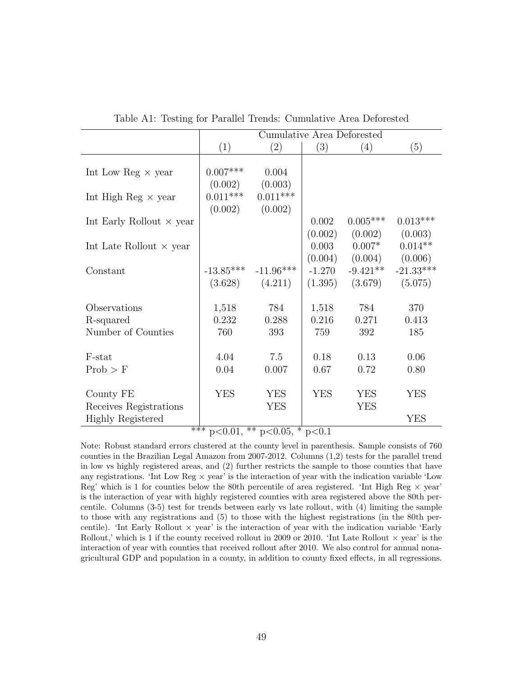|                                 | Cumulative Area Deforested |                                                                                                                                                                                                                                                                                                                     |          |            |             |  |  |  |
|---------------------------------|----------------------------|---------------------------------------------------------------------------------------------------------------------------------------------------------------------------------------------------------------------------------------------------------------------------------------------------------------------|----------|------------|-------------|--|--|--|
|                                 | (1)                        | (2)                                                                                                                                                                                                                                                                                                                 | (3)      | (4)        | (5)         |  |  |  |
|                                 |                            |                                                                                                                                                                                                                                                                                                                     |          |            |             |  |  |  |
| Int Low Reg $\times$ year       | $0.007***$                 | 0.004                                                                                                                                                                                                                                                                                                               |          |            |             |  |  |  |
|                                 | (0.002)                    | (0.003)                                                                                                                                                                                                                                                                                                             |          |            |             |  |  |  |
| Int High Reg $\times$ year      | $0.011***$                 | $0.011***$                                                                                                                                                                                                                                                                                                          |          |            |             |  |  |  |
|                                 | (0.002)                    | (0.002)                                                                                                                                                                                                                                                                                                             |          |            |             |  |  |  |
| Int Early Rollout $\times$ year |                            |                                                                                                                                                                                                                                                                                                                     | 0.002    | $0.005***$ | $0.013***$  |  |  |  |
|                                 |                            |                                                                                                                                                                                                                                                                                                                     | (0.002)  | (0.002)    | (0.003)     |  |  |  |
| Int Late Rollout $\times$ year  |                            |                                                                                                                                                                                                                                                                                                                     | 0.003    | $0.007*$   | $0.014**$   |  |  |  |
|                                 |                            |                                                                                                                                                                                                                                                                                                                     | (0.004)  | (0.004)    | (0.006)     |  |  |  |
| Constant                        | $-13.85***$                | $-11.96***$                                                                                                                                                                                                                                                                                                         | $-1.270$ | $-9.421**$ | $-21.33***$ |  |  |  |
|                                 | (3.628)                    | (4.211)                                                                                                                                                                                                                                                                                                             | (1.395)  | (3.679)    | (5.075)     |  |  |  |
|                                 |                            |                                                                                                                                                                                                                                                                                                                     |          |            |             |  |  |  |
| Observations                    | 1,518                      | 784                                                                                                                                                                                                                                                                                                                 | 1,518    | 784        | 370         |  |  |  |
| R-squared                       | 0.232                      | 0.288                                                                                                                                                                                                                                                                                                               | 0.216    | 0.271      | 0.413       |  |  |  |
| Number of Counties              | 760                        | 393                                                                                                                                                                                                                                                                                                                 | 759      | 392        | 185         |  |  |  |
|                                 |                            |                                                                                                                                                                                                                                                                                                                     |          |            |             |  |  |  |
| F-stat                          | 4.04                       | 7.5                                                                                                                                                                                                                                                                                                                 | 0.18     | 0.13       | 0.06        |  |  |  |
| Prob > F                        | 0.04                       | 0.007                                                                                                                                                                                                                                                                                                               | 0.67     | 0.72       | 0.80        |  |  |  |
|                                 |                            |                                                                                                                                                                                                                                                                                                                     |          |            |             |  |  |  |
| County FE                       | <b>YES</b>                 | <b>YES</b>                                                                                                                                                                                                                                                                                                          | YES      | <b>YES</b> | <b>YES</b>  |  |  |  |
| Receives Registrations          |                            | <b>YES</b>                                                                                                                                                                                                                                                                                                          |          | <b>YES</b> |             |  |  |  |
| <b>Highly Registered</b>        |                            |                                                                                                                                                                                                                                                                                                                     |          |            | YES         |  |  |  |
| ***                             | n < 0.01                   | $\frac{1}{2}$ $\frac{1}{2}$ $\frac{1}{2}$ $\frac{1}{2}$ $\frac{1}{2}$ $\frac{1}{2}$ $\frac{1}{2}$ $\frac{1}{2}$ $\frac{1}{2}$ $\frac{1}{2}$ $\frac{1}{2}$ $\frac{1}{2}$ $\frac{1}{2}$ $\frac{1}{2}$ $\frac{1}{2}$ $\frac{1}{2}$ $\frac{1}{2}$ $\frac{1}{2}$ $\frac{1}{2}$ $\frac{1}{2}$ $\frac{1}{2}$ $\frac{1}{2}$ |          |            |             |  |  |  |

Table A1: Testing for Parallel Trends: Cumulative Area Deforested

 $p<sub>0.01</sub>,$  \*\*  $p<sub>0.05</sub>,$  \*  $p<sub>0.1</sub>$ 

Note: Robust standard errors clustered at the county level in parenthesis. Sample consists of 760 counties in the Brazilian Legal Amazon from 2007-2012. Columns (1,2) tests for the parallel trend in low vs highly registered areas, and (2) further restricts the sample to those counties that have any registrations. 'Int Low Reg  $\times$  year' is the interaction of year with the indication variable 'Low Reg' which is 1 for counties below the 80th percentile of area registered. 'Int High Reg  $\times$  year' is the interaction of year with highly registered counties with area registered above the 80th percentile. Columns (3-5) test for trends between early vs late rollout, with (4) limiting the sample to those with any registrations and (5) to those with the highest registrations (in the 80th percentile). 'Int Early Rollout  $\times$  year' is the interaction of year with the indication variable 'Early Rollout,' which is 1 if the county received rollout in 2009 or 2010. 'Int Late Rollout  $\times$  year' is the interaction of year with counties that received rollout after 2010. We also control for annual nonagricultural GDP and population in a county, in addition to county fixed effects, in all regressions.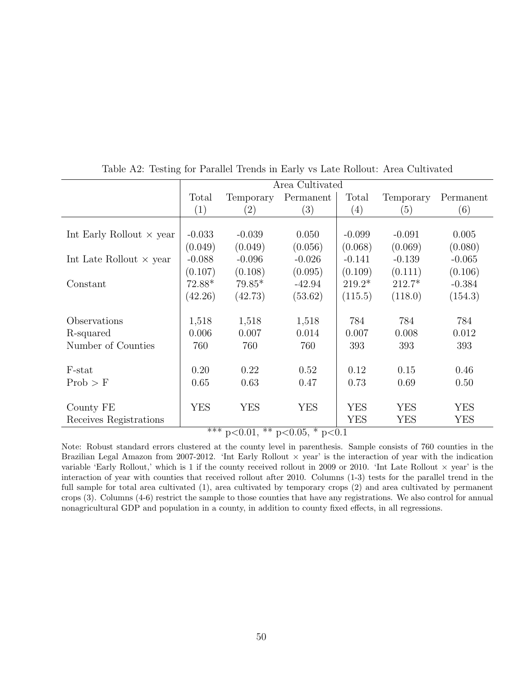|                                 |                   | Area Cultivated   |                                        |            |            |            |  |
|---------------------------------|-------------------|-------------------|----------------------------------------|------------|------------|------------|--|
|                                 | Total             | Temporary         | Permanent                              | Total      | Temporary  | Permanent  |  |
|                                 | $\left( 1\right)$ | $\left( 2\right)$ | $\left( 3\right)$                      | (4)        | (5)        | (6)        |  |
|                                 |                   |                   |                                        |            |            |            |  |
| Int Early Rollout $\times$ year | $-0.033$          | $-0.039$          | 0.050                                  | $-0.099$   | $-0.091$   | 0.005      |  |
|                                 | (0.049)           | (0.049)           | (0.056)                                | (0.068)    | (0.069)    | (0.080)    |  |
| Int Late Rollout $\times$ year  | $-0.088$          | $-0.096$          | $-0.026$                               | $-0.141$   | $-0.139$   | $-0.065$   |  |
|                                 | (0.107)           | (0.108)           | (0.095)                                | (0.109)    | (0.111)    | (0.106)    |  |
| Constant                        | $72.88*$          | $79.85*$          | $-42.94$                               | $219.2*$   | $212.7*$   | $-0.384$   |  |
|                                 | (42.26)           | (42.73)           | (53.62)                                | (115.5)    | (118.0)    | (154.3)    |  |
|                                 |                   |                   |                                        |            |            |            |  |
| Observations                    | 1,518             | 1,518             | 1,518                                  | 784        | 784        | 784        |  |
| R-squared                       | 0.006             | 0.007             | 0.014                                  | 0.007      | 0.008      | 0.012      |  |
| Number of Counties              | 760               | 760               | 760                                    | 393        | 393        | 393        |  |
|                                 |                   |                   |                                        |            |            |            |  |
| F-stat                          | 0.20              | 0.22              | 0.52                                   | 0.12       | 0.15       | 0.46       |  |
| Prob > F                        | 0.65              | 0.63              | 0.47                                   | 0.73       | 0.69       | 0.50       |  |
|                                 |                   |                   |                                        |            |            |            |  |
| County FE                       | <b>YES</b>        | YES               | <b>YES</b>                             | <b>YES</b> | <b>YES</b> | <b>YES</b> |  |
| Receives Registrations          |                   |                   |                                        | <b>YES</b> | YES        | YES        |  |
|                                 |                   | $***\ n\geq0.01$  | $*$ $n$ $\leq$ 0.05 $*$ $n$ $\leq$ 0.1 |            |            |            |  |

Table A2: Testing for Parallel Trends in Early vs Late Rollout: Area Cultivated

 $p<0.01$ , \*\*  $p<0.05$ , \*  $p<0.1$ 

Note: Robust standard errors clustered at the county level in parenthesis. Sample consists of 760 counties in the Brazilian Legal Amazon from 2007-2012. 'Int Early Rollout  $\times$  year' is the interaction of year with the indication variable 'Early Rollout,' which is 1 if the county received rollout in 2009 or 2010. 'Int Late Rollout  $\times$  year' is the interaction of year with counties that received rollout after 2010. Columns (1-3) tests for the parallel trend in the full sample for total area cultivated (1), area cultivated by temporary crops (2) and area cultivated by permanent crops (3). Columns (4-6) restrict the sample to those counties that have any registrations. We also control for annual nonagricultural GDP and population in a county, in addition to county fixed effects, in all regressions.